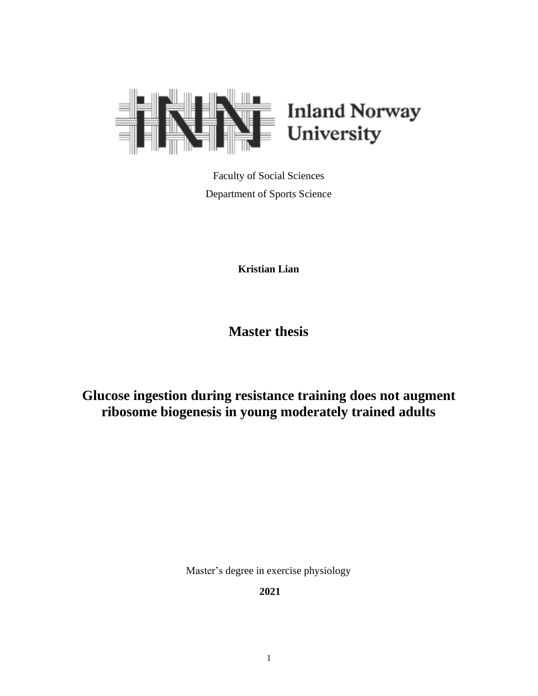

Faculty of Social Sciences Department of Sports Science

**Kristian Lian**

**Master thesis**

# **Glucose ingestion during resistance training does not augment ribosome biogenesis in young moderately trained adults**

Master's degree in exercise physiology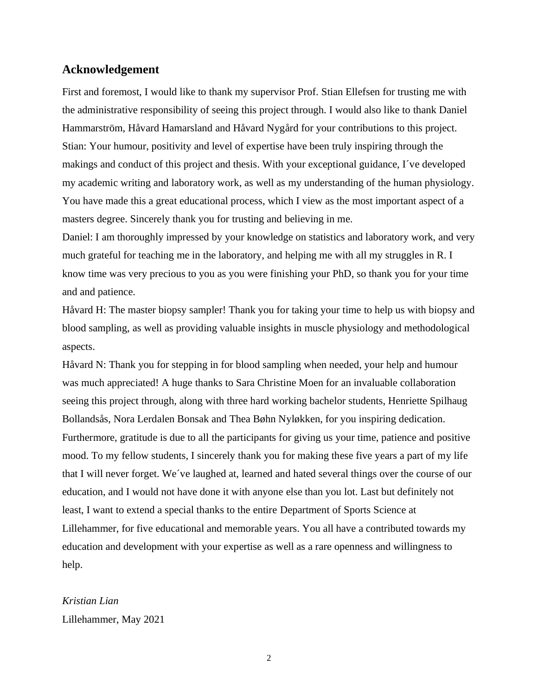## <span id="page-1-0"></span>**Acknowledgement**

First and foremost, I would like to thank my supervisor Prof. Stian Ellefsen for trusting me with the administrative responsibility of seeing this project through. I would also like to thank Daniel Hammarström, Håvard Hamarsland and Håvard Nygård for your contributions to this project. Stian: Your humour, positivity and level of expertise have been truly inspiring through the makings and conduct of this project and thesis. With your exceptional guidance, I´ve developed my academic writing and laboratory work, as well as my understanding of the human physiology. You have made this a great educational process, which I view as the most important aspect of a masters degree. Sincerely thank you for trusting and believing in me.

Daniel: I am thoroughly impressed by your knowledge on statistics and laboratory work, and very much grateful for teaching me in the laboratory, and helping me with all my struggles in R. I know time was very precious to you as you were finishing your PhD, so thank you for your time and and patience.

Håvard H: The master biopsy sampler! Thank you for taking your time to help us with biopsy and blood sampling, as well as providing valuable insights in muscle physiology and methodological aspects.

Håvard N: Thank you for stepping in for blood sampling when needed, your help and humour was much appreciated! A huge thanks to Sara Christine Moen for an invaluable collaboration seeing this project through, along with three hard working bachelor students, Henriette Spilhaug Bollandsås, Nora Lerdalen Bonsak and Thea Bøhn Nyløkken, for you inspiring dedication. Furthermore, gratitude is due to all the participants for giving us your time, patience and positive mood. To my fellow students, I sincerely thank you for making these five years a part of my life that I will never forget. We´ve laughed at, learned and hated several things over the course of our education, and I would not have done it with anyone else than you lot. Last but definitely not least, I want to extend a special thanks to the entire Department of Sports Science at Lillehammer, for five educational and memorable years. You all have a contributed towards my education and development with your expertise as well as a rare openness and willingness to help.

# *Kristian Lian* Lillehammer, May 2021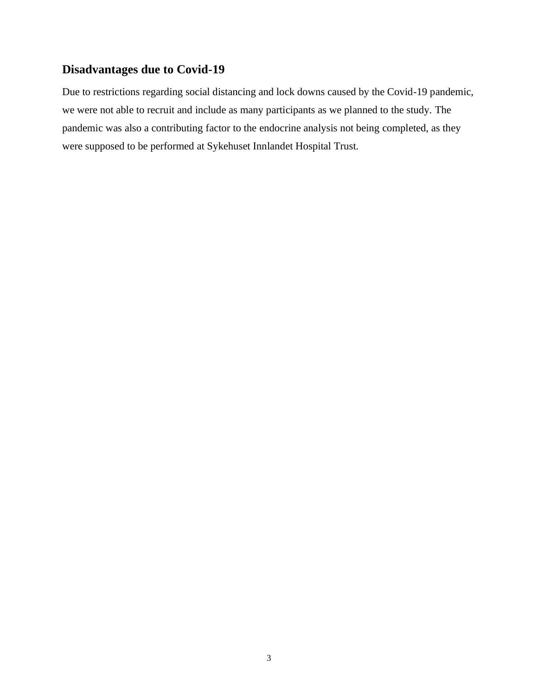# <span id="page-2-0"></span>**Disadvantages due to Covid-19**

Due to restrictions regarding social distancing and lock downs caused by the Covid-19 pandemic, we were not able to recruit and include as many participants as we planned to the study. The pandemic was also a contributing factor to the endocrine analysis not being completed, as they were supposed to be performed at Sykehuset Innlandet Hospital Trust.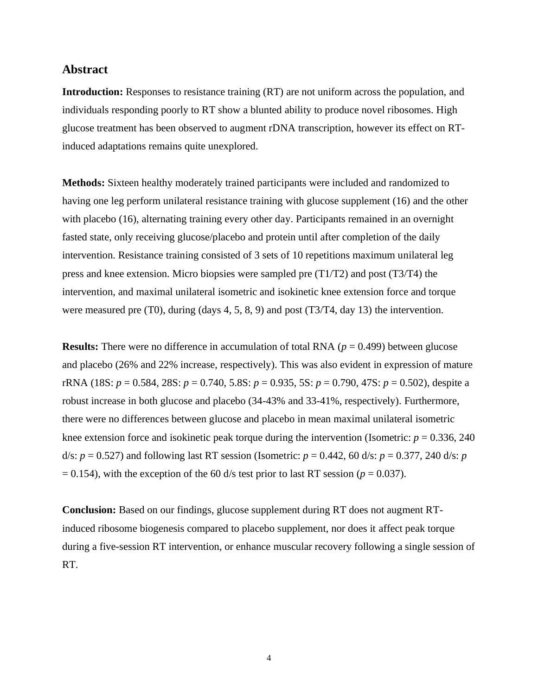## <span id="page-3-0"></span>**Abstract**

**Introduction:** Responses to resistance training (RT) are not uniform across the population, and individuals responding poorly to RT show a blunted ability to produce novel ribosomes. High glucose treatment has been observed to augment rDNA transcription, however its effect on RTinduced adaptations remains quite unexplored.

**Methods:** Sixteen healthy moderately trained participants were included and randomized to having one leg perform unilateral resistance training with glucose supplement (16) and the other with placebo (16), alternating training every other day. Participants remained in an overnight fasted state, only receiving glucose/placebo and protein until after completion of the daily intervention. Resistance training consisted of 3 sets of 10 repetitions maximum unilateral leg press and knee extension. Micro biopsies were sampled pre (T1/T2) and post (T3/T4) the intervention, and maximal unilateral isometric and isokinetic knee extension force and torque were measured pre (T0), during (days 4, 5, 8, 9) and post (T3/T4, day 13) the intervention.

**Results:** There were no difference in accumulation of total RNA (*p* = 0.499) between glucose and placebo (26% and 22% increase, respectively). This was also evident in expression of mature rRNA (18S: *p* = 0.584, 28S: *p* = 0.740, 5.8S: *p* = 0.935, 5S: *p* = 0.790, 47S: *p* = 0.502), despite a robust increase in both glucose and placebo (34-43% and 33-41%, respectively). Furthermore, there were no differences between glucose and placebo in mean maximal unilateral isometric knee extension force and isokinetic peak torque during the intervention (Isometric:  $p = 0.336, 240$ d/s:  $p = 0.527$ ) and following last RT session (Isometric:  $p = 0.442$ , 60 d/s:  $p = 0.377$ , 240 d/s: *p*  $= 0.154$ ), with the exception of the 60 d/s test prior to last RT session ( $p = 0.037$ ).

**Conclusion:** Based on our findings, glucose supplement during RT does not augment RTinduced ribosome biogenesis compared to placebo supplement, nor does it affect peak torque during a five-session RT intervention, or enhance muscular recovery following a single session of RT.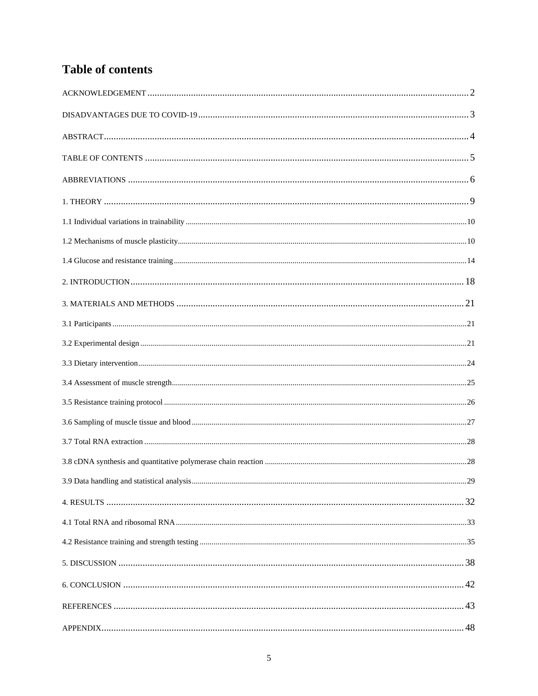# <span id="page-4-0"></span>**Table of contents**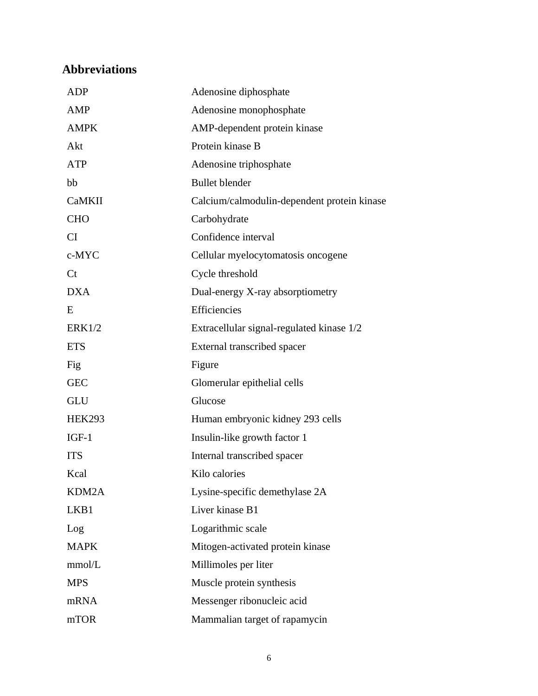# <span id="page-5-0"></span>**Abbreviations**

| <b>ADP</b>     | Adenosine diphosphate                       |
|----------------|---------------------------------------------|
| <b>AMP</b>     | Adenosine monophosphate                     |
| <b>AMPK</b>    | AMP-dependent protein kinase                |
| Akt            | Protein kinase B                            |
| <b>ATP</b>     | Adenosine triphosphate                      |
| bb             | <b>Bullet blender</b>                       |
| <b>CaMKII</b>  | Calcium/calmodulin-dependent protein kinase |
| <b>CHO</b>     | Carbohydrate                                |
| CI             | Confidence interval                         |
| c-MYC          | Cellular myelocytomatosis oncogene          |
| C <sub>t</sub> | Cycle threshold                             |
| <b>DXA</b>     | Dual-energy X-ray absorptiometry            |
| E              | Efficiencies                                |
| ERK1/2         | Extracellular signal-regulated kinase 1/2   |
| <b>ETS</b>     | External transcribed spacer                 |
| Fig            | Figure                                      |
| <b>GEC</b>     | Glomerular epithelial cells                 |
| <b>GLU</b>     | Glucose                                     |
| <b>HEK293</b>  | Human embryonic kidney 293 cells            |
| $IGF-1$        | Insulin-like growth factor 1                |
| <b>ITS</b>     | Internal transcribed spacer                 |
| Kcal           | Kilo calories                               |
| KDM2A          | Lysine-specific demethylase 2A              |
| LKB1           | Liver kinase B1                             |
| Log            | Logarithmic scale                           |
| <b>MAPK</b>    | Mitogen-activated protein kinase            |
| mmol/L         | Millimoles per liter                        |
| <b>MPS</b>     | Muscle protein synthesis                    |
| mRNA           | Messenger ribonucleic acid                  |
| mTOR           | Mammalian target of rapamycin               |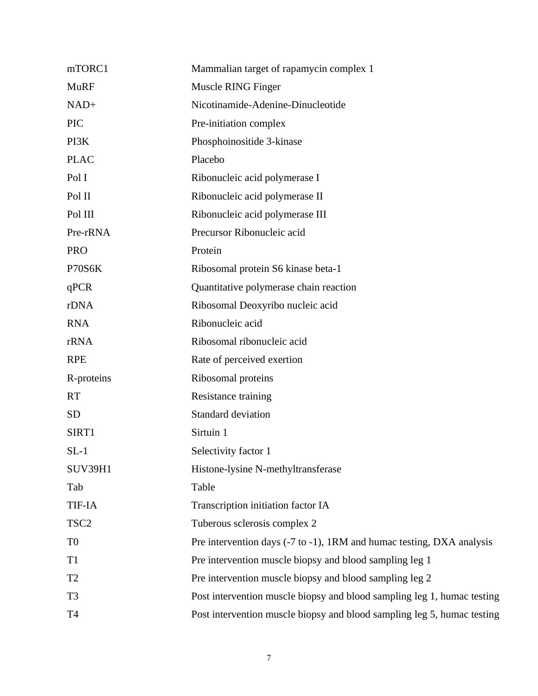| mTORC1           | Mammalian target of rapamycin complex 1                                 |
|------------------|-------------------------------------------------------------------------|
| <b>MuRF</b>      | Muscle RING Finger                                                      |
| $NAD+$           | Nicotinamide-Adenine-Dinucleotide                                       |
| <b>PIC</b>       | Pre-initiation complex                                                  |
| PI3K             | Phosphoinositide 3-kinase                                               |
| <b>PLAC</b>      | Placebo                                                                 |
| Pol I            | Ribonucleic acid polymerase I                                           |
| Pol II           | Ribonucleic acid polymerase II                                          |
| Pol III          | Ribonucleic acid polymerase III                                         |
| Pre-rRNA         | Precursor Ribonucleic acid                                              |
| <b>PRO</b>       | Protein                                                                 |
| P70S6K           | Ribosomal protein S6 kinase beta-1                                      |
| qPCR             | Quantitative polymerase chain reaction                                  |
| rDNA             | Ribosomal Deoxyribo nucleic acid                                        |
| <b>RNA</b>       | Ribonucleic acid                                                        |
| rRNA             | Ribosomal ribonucleic acid                                              |
| <b>RPE</b>       | Rate of perceived exertion                                              |
| R-proteins       | Ribosomal proteins                                                      |
| <b>RT</b>        | Resistance training                                                     |
| <b>SD</b>        | Standard deviation                                                      |
| SIRT1            | Sirtuin 1                                                               |
| $SL-1$           | Selectivity factor 1                                                    |
| <b>SUV39H1</b>   | Histone-lysine N-methyltransferase                                      |
| Tab              | Table                                                                   |
| <b>TIF-IA</b>    | Transcription initiation factor IA                                      |
| TSC <sub>2</sub> | Tuberous sclerosis complex 2                                            |
| T <sub>0</sub>   | Pre intervention days (-7 to -1), 1RM and humac testing, DXA analysis   |
| T1               | Pre intervention muscle biopsy and blood sampling leg 1                 |
| T <sub>2</sub>   | Pre intervention muscle biopsy and blood sampling leg 2                 |
| T <sub>3</sub>   | Post intervention muscle biopsy and blood sampling leg 1, humac testing |
| <b>T4</b>        | Post intervention muscle biopsy and blood sampling leg 5, humac testing |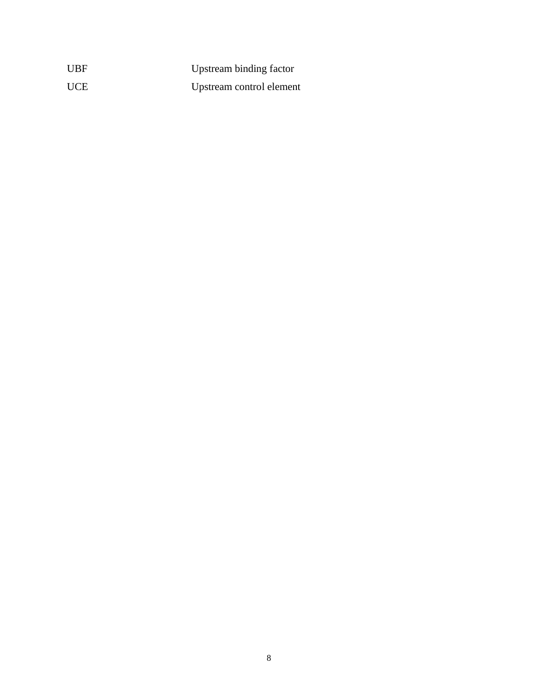| <b>UBF</b> | Upstream binding factor  |
|------------|--------------------------|
| <b>UCE</b> | Upstream control element |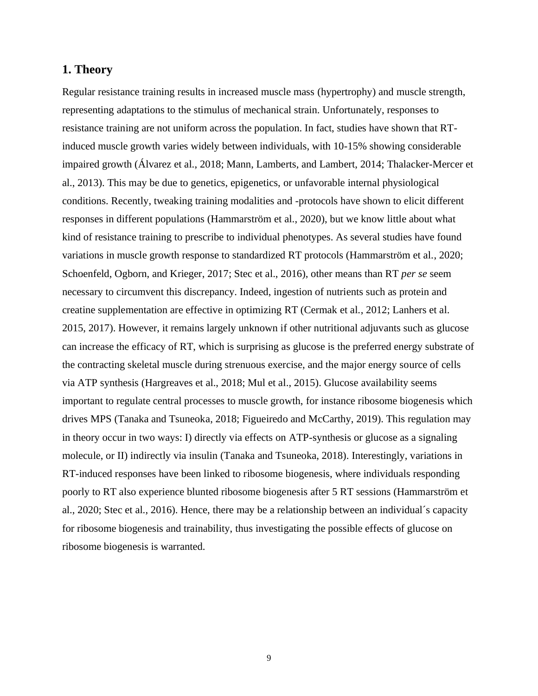# <span id="page-8-0"></span>**1. Theory**

Regular resistance training results in increased muscle mass (hypertrophy) and muscle strength, representing adaptations to the stimulus of mechanical strain. Unfortunately, responses to resistance training are not uniform across the population. In fact, studies have shown that RTinduced muscle growth varies widely between individuals, with 10-15% showing considerable impaired growth (Álvarez et al., 2018; Mann, Lamberts, and Lambert, 2014; Thalacker-Mercer et al., 2013). This may be due to genetics, epigenetics, or unfavorable internal physiological conditions. Recently, tweaking training modalities and -protocols have shown to elicit different responses in different populations (Hammarström et al., 2020), but we know little about what kind of resistance training to prescribe to individual phenotypes. As several studies have found variations in muscle growth response to standardized RT protocols (Hammarström et al., 2020; Schoenfeld, Ogborn, and Krieger, 2017; Stec et al., 2016), other means than RT *per se* seem necessary to circumvent this discrepancy. Indeed, ingestion of nutrients such as protein and creatine supplementation are effective in optimizing RT (Cermak et al., 2012; Lanhers et al. 2015, 2017). However, it remains largely unknown if other nutritional adjuvants such as glucose can increase the efficacy of RT, which is surprising as glucose is the preferred energy substrate of the contracting skeletal muscle during strenuous exercise, and the major energy source of cells via ATP synthesis (Hargreaves et al., 2018; Mul et al., 2015). Glucose availability seems important to regulate central processes to muscle growth, for instance ribosome biogenesis which drives MPS (Tanaka and Tsuneoka, 2018; Figueiredo and McCarthy, 2019). This regulation may in theory occur in two ways: I) directly via effects on ATP-synthesis or glucose as a signaling molecule, or II) indirectly via insulin (Tanaka and Tsuneoka, 2018). Interestingly, variations in RT-induced responses have been linked to ribosome biogenesis, where individuals responding poorly to RT also experience blunted ribosome biogenesis after 5 RT sessions (Hammarström et al., 2020; Stec et al., 2016). Hence, there may be a relationship between an individual´s capacity for ribosome biogenesis and trainability, thus investigating the possible effects of glucose on ribosome biogenesis is warranted.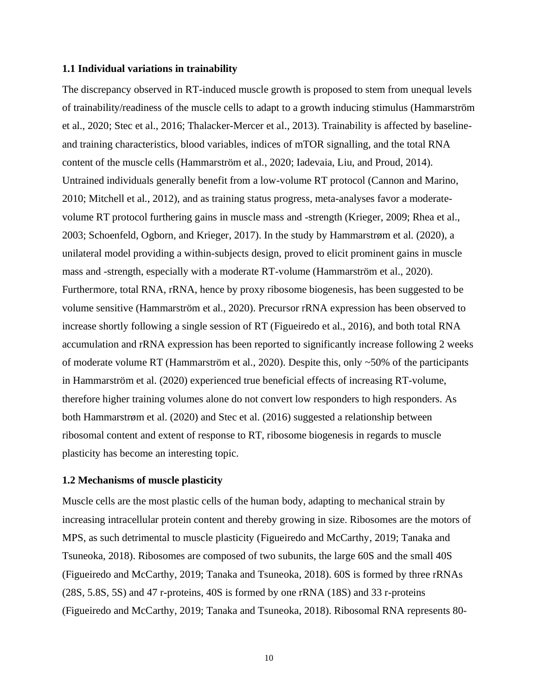#### <span id="page-9-0"></span>**1.1 Individual variations in trainability**

The discrepancy observed in RT-induced muscle growth is proposed to stem from unequal levels of trainability/readiness of the muscle cells to adapt to a growth inducing stimulus (Hammarström et al., 2020; Stec et al., 2016; Thalacker-Mercer et al., 2013). Trainability is affected by baselineand training characteristics, blood variables, indices of mTOR signalling, and the total RNA content of the muscle cells (Hammarström et al., 2020; Iadevaia, Liu, and Proud, 2014). Untrained individuals generally benefit from a low-volume RT protocol (Cannon and Marino, 2010; Mitchell et al., 2012), and as training status progress, meta-analyses favor a moderatevolume RT protocol furthering gains in muscle mass and -strength (Krieger, 2009; Rhea et al., 2003; Schoenfeld, Ogborn, and Krieger, 2017). In the study by Hammarstrøm et al. (2020), a unilateral model providing a within-subjects design, proved to elicit prominent gains in muscle mass and -strength, especially with a moderate RT-volume (Hammarström et al., 2020). Furthermore, total RNA, rRNA, hence by proxy ribosome biogenesis, has been suggested to be volume sensitive (Hammarström et al., 2020). Precursor rRNA expression has been observed to increase shortly following a single session of RT (Figueiredo et al., 2016), and both total RNA accumulation and rRNA expression has been reported to significantly increase following 2 weeks of moderate volume RT (Hammarström et al., 2020). Despite this, only ~50% of the participants in Hammarström et al. (2020) experienced true beneficial effects of increasing RT-volume, therefore higher training volumes alone do not convert low responders to high responders. As both Hammarstrøm et al. (2020) and Stec et al. (2016) suggested a relationship between ribosomal content and extent of response to RT, ribosome biogenesis in regards to muscle plasticity has become an interesting topic.

### <span id="page-9-1"></span>**1.2 Mechanisms of muscle plasticity**

Muscle cells are the most plastic cells of the human body, adapting to mechanical strain by increasing intracellular protein content and thereby growing in size. Ribosomes are the motors of MPS, as such detrimental to muscle plasticity (Figueiredo and McCarthy, 2019; Tanaka and Tsuneoka, 2018). Ribosomes are composed of two subunits, the large 60S and the small 40S (Figueiredo and McCarthy, 2019; Tanaka and Tsuneoka, 2018). 60S is formed by three rRNAs (28S, 5.8S, 5S) and 47 r-proteins, 40S is formed by one rRNA (18S) and 33 r-proteins (Figueiredo and McCarthy, 2019; Tanaka and Tsuneoka, 2018). Ribosomal RNA represents 80-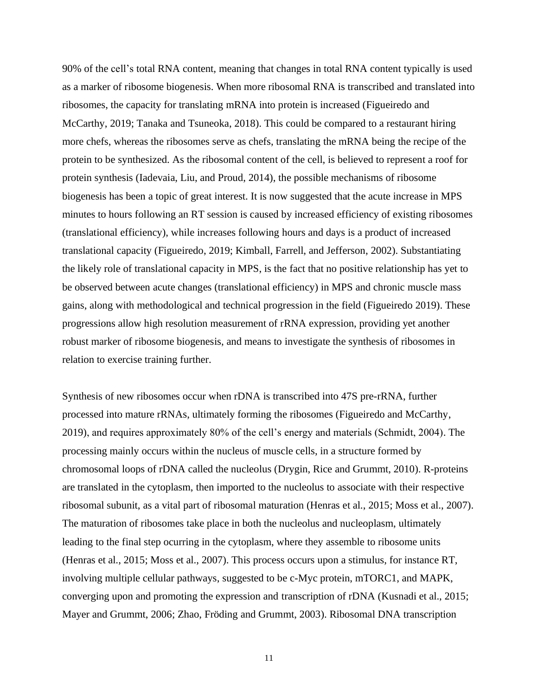90% of the cell's total RNA content, meaning that changes in total RNA content typically is used as a marker of ribosome biogenesis. When more ribosomal RNA is transcribed and translated into ribosomes, the capacity for translating mRNA into protein is increased (Figueiredo and McCarthy, 2019; Tanaka and Tsuneoka, 2018). This could be compared to a restaurant hiring more chefs, whereas the ribosomes serve as chefs, translating the mRNA being the recipe of the protein to be synthesized. As the ribosomal content of the cell, is believed to represent a roof for protein synthesis (Iadevaia, Liu, and Proud, 2014), the possible mechanisms of ribosome biogenesis has been a topic of great interest. It is now suggested that the acute increase in MPS minutes to hours following an RT session is caused by increased efficiency of existing ribosomes (translational efficiency), while increases following hours and days is a product of increased translational capacity (Figueiredo, 2019; Kimball, Farrell, and Jefferson, 2002). Substantiating the likely role of translational capacity in MPS, is the fact that no positive relationship has yet to be observed between acute changes (translational efficiency) in MPS and chronic muscle mass gains, along with methodological and technical progression in the field (Figueiredo 2019). These progressions allow high resolution measurement of rRNA expression, providing yet another robust marker of ribosome biogenesis, and means to investigate the synthesis of ribosomes in relation to exercise training further.

Synthesis of new ribosomes occur when rDNA is transcribed into 47S pre-rRNA, further processed into mature rRNAs, ultimately forming the ribosomes (Figueiredo and McCarthy, 2019), and requires approximately 80% of the cell's energy and materials (Schmidt, 2004). The processing mainly occurs within the nucleus of muscle cells, in a structure formed by chromosomal loops of rDNA called the nucleolus (Drygin, Rice and Grummt, 2010). R-proteins are translated in the cytoplasm, then imported to the nucleolus to associate with their respective ribosomal subunit, as a vital part of ribosomal maturation (Henras et al., 2015; Moss et al., 2007). The maturation of ribosomes take place in both the nucleolus and nucleoplasm, ultimately leading to the final step ocurring in the cytoplasm, where they assemble to ribosome units (Henras et al., 2015; Moss et al., 2007). This process occurs upon a stimulus, for instance RT, involving multiple cellular pathways, suggested to be c-Myc protein, mTORC1, and MAPK, converging upon and promoting the expression and transcription of rDNA (Kusnadi et al., 2015; Mayer and Grummt, 2006; Zhao, Fröding and Grummt, 2003). Ribosomal DNA transcription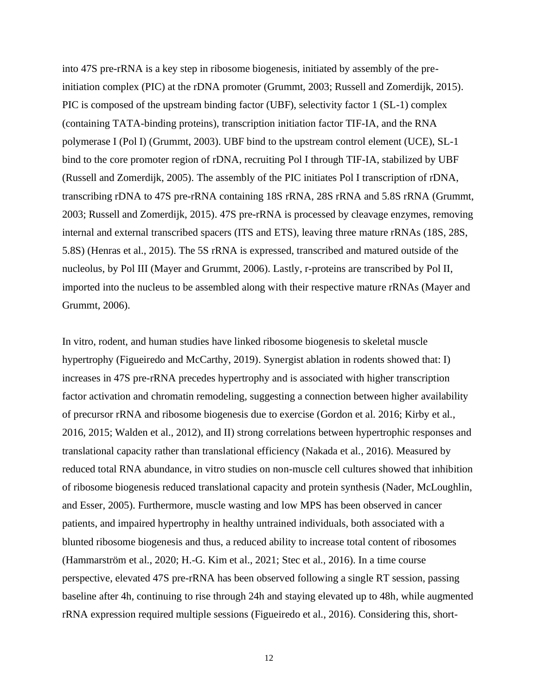into 47S pre-rRNA is a key step in ribosome biogenesis, initiated by assembly of the preinitiation complex (PIC) at the rDNA promoter (Grummt, 2003; Russell and Zomerdijk, 2015). PIC is composed of the upstream binding factor (UBF), selectivity factor 1 (SL-1) complex (containing TATA-binding proteins), transcription initiation factor TIF-IA, and the RNA polymerase I (Pol I) (Grummt, 2003). UBF bind to the upstream control element (UCE), SL-1 bind to the core promoter region of rDNA, recruiting Pol I through TIF-IA, stabilized by UBF (Russell and Zomerdijk, 2005). The assembly of the PIC initiates Pol I transcription of rDNA, transcribing rDNA to 47S pre-rRNA containing 18S rRNA, 28S rRNA and 5.8S rRNA (Grummt, 2003; Russell and Zomerdijk, 2015). 47S pre-rRNA is processed by cleavage enzymes, removing internal and external transcribed spacers (ITS and ETS), leaving three mature rRNAs (18S, 28S, 5.8S) (Henras et al., 2015). The 5S rRNA is expressed, transcribed and matured outside of the nucleolus, by Pol III (Mayer and Grummt, 2006). Lastly, r-proteins are transcribed by Pol II, imported into the nucleus to be assembled along with their respective mature rRNAs (Mayer and Grummt, 2006).

In vitro, rodent, and human studies have linked ribosome biogenesis to skeletal muscle hypertrophy (Figueiredo and McCarthy, 2019). Synergist ablation in rodents showed that: I) increases in 47S pre-rRNA precedes hypertrophy and is associated with higher transcription factor activation and chromatin remodeling, suggesting a connection between higher availability of precursor rRNA and ribosome biogenesis due to exercise (Gordon et al. 2016; Kirby et al., 2016, 2015; Walden et al., 2012), and II) strong correlations between hypertrophic responses and translational capacity rather than translational efficiency (Nakada et al., 2016). Measured by reduced total RNA abundance, in vitro studies on non-muscle cell cultures showed that inhibition of ribosome biogenesis reduced translational capacity and protein synthesis (Nader, McLoughlin, and Esser, 2005). Furthermore, muscle wasting and low MPS has been observed in cancer patients, and impaired hypertrophy in healthy untrained individuals, both associated with a blunted ribosome biogenesis and thus, a reduced ability to increase total content of ribosomes (Hammarström et al., 2020; H.-G. Kim et al., 2021; Stec et al., 2016). In a time course perspective, elevated 47S pre-rRNA has been observed following a single RT session, passing baseline after 4h, continuing to rise through 24h and staying elevated up to 48h, while augmented rRNA expression required multiple sessions (Figueiredo et al., 2016). Considering this, short-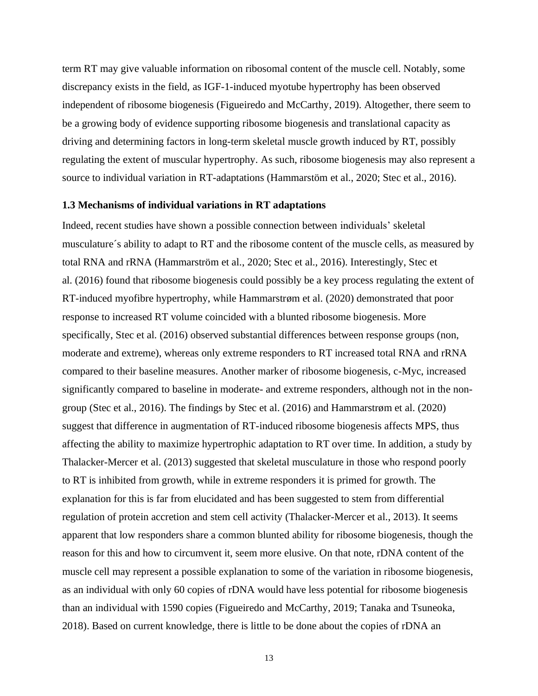term RT may give valuable information on ribosomal content of the muscle cell. Notably, some discrepancy exists in the field, as IGF-1-induced myotube hypertrophy has been observed independent of ribosome biogenesis (Figueiredo and McCarthy, 2019). Altogether, there seem to be a growing body of evidence supporting ribosome biogenesis and translational capacity as driving and determining factors in long-term skeletal muscle growth induced by RT, possibly regulating the extent of muscular hypertrophy. As such, ribosome biogenesis may also represent a source to individual variation in RT-adaptations (Hammarstöm et al., 2020; Stec et al., 2016).

#### **1.3 Mechanisms of individual variations in RT adaptations**

Indeed, recent studies have shown a possible connection between individuals' skeletal musculature´s ability to adapt to RT and the ribosome content of the muscle cells, as measured by total RNA and rRNA (Hammarström et al., 2020; Stec et al., 2016). Interestingly, Stec et al. (2016) found that ribosome biogenesis could possibly be a key process regulating the extent of RT-induced myofibre hypertrophy, while Hammarstrøm et al. (2020) demonstrated that poor response to increased RT volume coincided with a blunted ribosome biogenesis. More specifically, Stec et al. (2016) observed substantial differences between response groups (non, moderate and extreme), whereas only extreme responders to RT increased total RNA and rRNA compared to their baseline measures. Another marker of ribosome biogenesis, c-Myc, increased significantly compared to baseline in moderate- and extreme responders, although not in the nongroup (Stec et al., 2016). The findings by Stec et al. (2016) and Hammarstrøm et al. (2020) suggest that difference in augmentation of RT-induced ribosome biogenesis affects MPS, thus affecting the ability to maximize hypertrophic adaptation to RT over time. In addition, a study by Thalacker-Mercer et al. (2013) suggested that skeletal musculature in those who respond poorly to RT is inhibited from growth, while in extreme responders it is primed for growth. The explanation for this is far from elucidated and has been suggested to stem from differential regulation of protein accretion and stem cell activity (Thalacker-Mercer et al., 2013). It seems apparent that low responders share a common blunted ability for ribosome biogenesis, though the reason for this and how to circumvent it, seem more elusive. On that note, rDNA content of the muscle cell may represent a possible explanation to some of the variation in ribosome biogenesis, as an individual with only 60 copies of rDNA would have less potential for ribosome biogenesis than an individual with 1590 copies (Figueiredo and McCarthy, 2019; Tanaka and Tsuneoka, 2018). Based on current knowledge, there is little to be done about the copies of rDNA an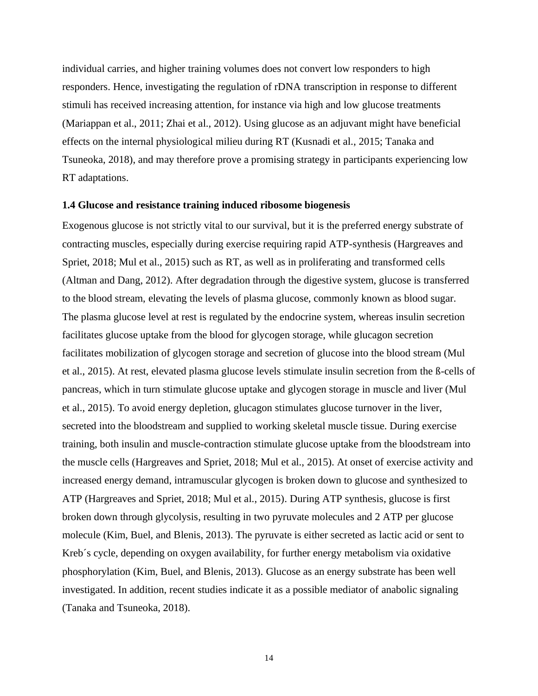individual carries, and higher training volumes does not convert low responders to high responders. Hence, investigating the regulation of rDNA transcription in response to different stimuli has received increasing attention, for instance via high and low glucose treatments (Mariappan et al., 2011; Zhai et al., 2012). Using glucose as an adjuvant might have beneficial effects on the internal physiological milieu during RT (Kusnadi et al., 2015; Tanaka and Tsuneoka, 2018), and may therefore prove a promising strategy in participants experiencing low RT adaptations.

#### <span id="page-13-0"></span>**1.4 Glucose and resistance training induced ribosome biogenesis**

Exogenous glucose is not strictly vital to our survival, but it is the preferred energy substrate of contracting muscles, especially during exercise requiring rapid ATP-synthesis (Hargreaves and Spriet, 2018; Mul et al., 2015) such as RT, as well as in proliferating and transformed cells (Altman and Dang, 2012). After degradation through the digestive system, glucose is transferred to the blood stream, elevating the levels of plasma glucose, commonly known as blood sugar. The plasma glucose level at rest is regulated by the endocrine system, whereas insulin secretion facilitates glucose uptake from the blood for glycogen storage, while glucagon secretion facilitates mobilization of glycogen storage and secretion of glucose into the blood stream (Mul et al., 2015). At rest, elevated plasma glucose levels stimulate insulin secretion from the ß-cells of pancreas, which in turn stimulate glucose uptake and glycogen storage in muscle and liver (Mul et al., 2015). To avoid energy depletion, glucagon stimulates glucose turnover in the liver, secreted into the bloodstream and supplied to working skeletal muscle tissue. During exercise training, both insulin and muscle-contraction stimulate glucose uptake from the bloodstream into the muscle cells (Hargreaves and Spriet, 2018; Mul et al., 2015). At onset of exercise activity and increased energy demand, intramuscular glycogen is broken down to glucose and synthesized to ATP (Hargreaves and Spriet, 2018; Mul et al., 2015). During ATP synthesis, glucose is first broken down through glycolysis, resulting in two pyruvate molecules and 2 ATP per glucose molecule (Kim, Buel, and Blenis, 2013). The pyruvate is either secreted as lactic acid or sent to Kreb´s cycle, depending on oxygen availability, for further energy metabolism via oxidative phosphorylation (Kim, Buel, and Blenis, 2013). Glucose as an energy substrate has been well investigated. In addition, recent studies indicate it as a possible mediator of anabolic signaling (Tanaka and Tsuneoka, 2018).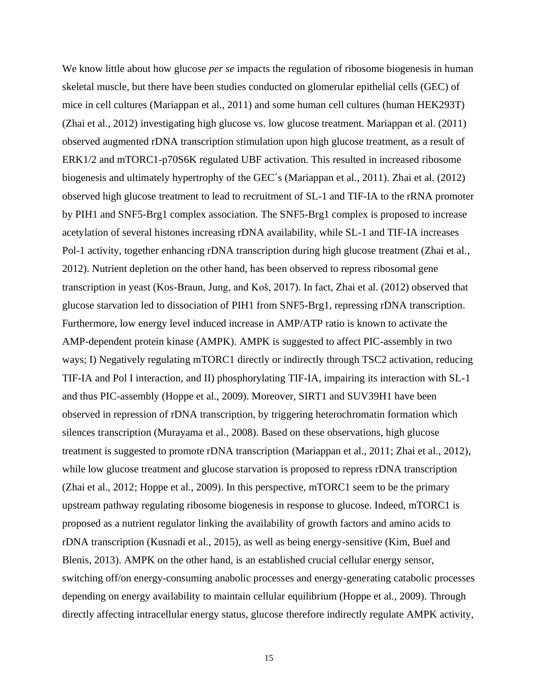We know little about how glucose *per se* impacts the regulation of ribosome biogenesis in human skeletal muscle, but there have been studies conducted on glomerular epithelial cells (GEC) of mice in cell cultures (Mariappan et al., 2011) and some human cell cultures (human HEK293T) (Zhai et al., 2012) investigating high glucose vs. low glucose treatment. Mariappan et al. (2011) observed augmented rDNA transcription stimulation upon high glucose treatment, as a result of ERK1/2 and mTORC1-p70S6K regulated UBF activation. This resulted in increased ribosome biogenesis and ultimately hypertrophy of the GEC´s (Mariappan et al., 2011). Zhai et al. (2012) observed high glucose treatment to lead to recruitment of SL-1 and TIF-IA to the rRNA promoter by PIH1 and SNF5-Brg1 complex association. The SNF5-Brg1 complex is proposed to increase acetylation of several histones increasing rDNA availability, while SL-1 and TIF-IA increases Pol-1 activity, together enhancing rDNA transcription during high glucose treatment (Zhai et al., 2012). Nutrient depletion on the other hand, has been observed to repress ribosomal gene transcription in yeast (Kos-Braun, Jung, and Koš, 2017). In fact, Zhai et al. (2012) observed that glucose starvation led to dissociation of PIH1 from SNF5-Brg1, repressing rDNA transcription. Furthermore, low energy level induced increase in AMP/ATP ratio is known to activate the AMP-dependent protein kinase (AMPK). AMPK is suggested to affect PIC-assembly in two ways; I) Negatively regulating mTORC1 directly or indirectly through TSC2 activation, reducing TIF-IA and Pol I interaction, and II) phosphorylating TIF-IA, impairing its interaction with SL-1 and thus PIC-assembly (Hoppe et al., 2009). Moreover, SIRT1 and SUV39H1 have been observed in repression of rDNA transcription, by triggering heterochromatin formation which silences transcription (Murayama et al., 2008). Based on these observations, high glucose treatment is suggested to promote rDNA transcription (Mariappan et al., 2011; Zhai et al., 2012), while low glucose treatment and glucose starvation is proposed to repress rDNA transcription (Zhai et al., 2012; Hoppe et al., 2009). In this perspective, mTORC1 seem to be the primary upstream pathway regulating ribosome biogenesis in response to glucose. Indeed, mTORC1 is proposed as a nutrient regulator linking the availability of growth factors and amino acids to rDNA transcription (Kusnadi et al., 2015), as well as being energy-sensitive (Kim, Buel and Blenis, 2013). AMPK on the other hand, is an established crucial cellular energy sensor, switching off/on energy-consuming anabolic processes and energy-generating catabolic processes depending on energy availability to maintain cellular equilibrium (Hoppe et al., 2009). Through directly affecting intracellular energy status, glucose therefore indirectly regulate AMPK activity,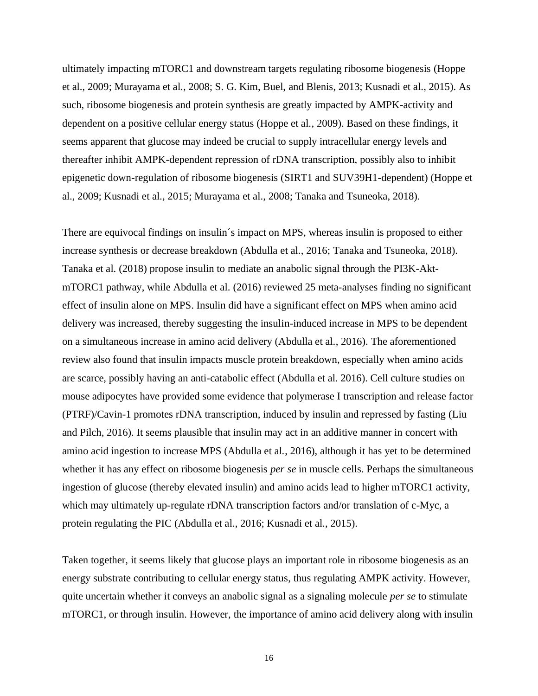ultimately impacting mTORC1 and downstream targets regulating ribosome biogenesis (Hoppe et al., 2009; Murayama et al., 2008; S. G. Kim, Buel, and Blenis, 2013; Kusnadi et al., 2015). As such, ribosome biogenesis and protein synthesis are greatly impacted by AMPK-activity and dependent on a positive cellular energy status (Hoppe et al., 2009). Based on these findings, it seems apparent that glucose may indeed be crucial to supply intracellular energy levels and thereafter inhibit AMPK-dependent repression of rDNA transcription, possibly also to inhibit epigenetic down-regulation of ribosome biogenesis (SIRT1 and SUV39H1-dependent) (Hoppe et al., 2009; Kusnadi et al., 2015; Murayama et al., 2008; Tanaka and Tsuneoka, 2018).

There are equivocal findings on insulin´s impact on MPS, whereas insulin is proposed to either increase synthesis or decrease breakdown (Abdulla et al., 2016; Tanaka and Tsuneoka, 2018). Tanaka et al. (2018) propose insulin to mediate an anabolic signal through the PI3K-AktmTORC1 pathway, while Abdulla et al. (2016) reviewed 25 meta-analyses finding no significant effect of insulin alone on MPS. Insulin did have a significant effect on MPS when amino acid delivery was increased, thereby suggesting the insulin-induced increase in MPS to be dependent on a simultaneous increase in amino acid delivery (Abdulla et al., 2016). The aforementioned review also found that insulin impacts muscle protein breakdown, especially when amino acids are scarce, possibly having an anti-catabolic effect (Abdulla et al. 2016). Cell culture studies on mouse adipocytes have provided some evidence that polymerase I transcription and release factor (PTRF)/Cavin-1 promotes rDNA transcription, induced by insulin and repressed by fasting (Liu and Pilch, 2016). It seems plausible that insulin may act in an additive manner in concert with amino acid ingestion to increase MPS (Abdulla et al., 2016), although it has yet to be determined whether it has any effect on ribosome biogenesis *per se* in muscle cells. Perhaps the simultaneous ingestion of glucose (thereby elevated insulin) and amino acids lead to higher mTORC1 activity, which may ultimately up-regulate rDNA transcription factors and/or translation of c-Myc, a protein regulating the PIC (Abdulla et al., 2016; Kusnadi et al., 2015).

Taken together, it seems likely that glucose plays an important role in ribosome biogenesis as an energy substrate contributing to cellular energy status, thus regulating AMPK activity. However, quite uncertain whether it conveys an anabolic signal as a signaling molecule *per se* to stimulate mTORC1, or through insulin. However, the importance of amino acid delivery along with insulin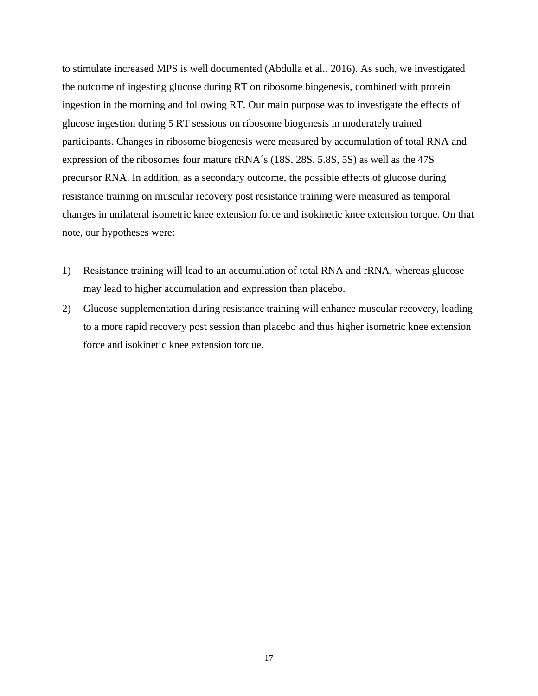to stimulate increased MPS is well documented (Abdulla et al., 2016). As such, we investigated the outcome of ingesting glucose during RT on ribosome biogenesis, combined with protein ingestion in the morning and following RT. Our main purpose was to investigate the effects of glucose ingestion during 5 RT sessions on ribosome biogenesis in moderately trained participants. Changes in ribosome biogenesis were measured by accumulation of total RNA and expression of the ribosomes four mature rRNA´s (18S, 28S, 5.8S, 5S) as well as the 47S precursor RNA. In addition, as a secondary outcome, the possible effects of glucose during resistance training on muscular recovery post resistance training were measured as temporal changes in unilateral isometric knee extension force and isokinetic knee extension torque. On that note, our hypotheses were:

- 1) Resistance training will lead to an accumulation of total RNA and rRNA, whereas glucose may lead to higher accumulation and expression than placebo.
- 2) Glucose supplementation during resistance training will enhance muscular recovery, leading to a more rapid recovery post session than placebo and thus higher isometric knee extension force and isokinetic knee extension torque.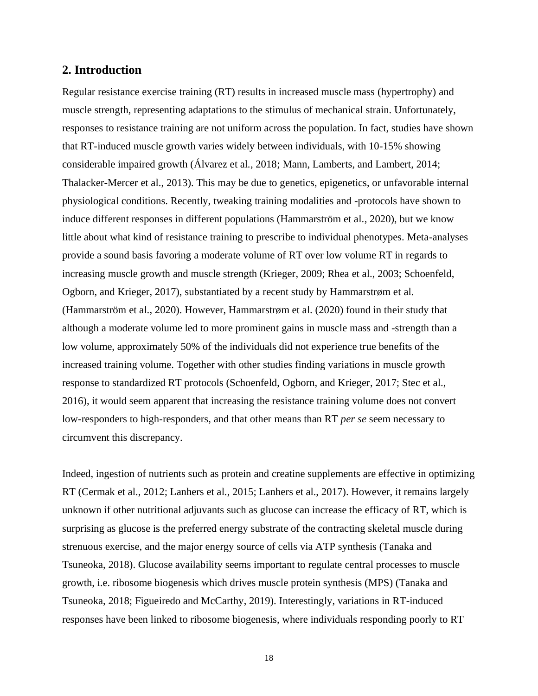# <span id="page-17-0"></span>**2. Introduction**

Regular resistance exercise training (RT) results in increased muscle mass (hypertrophy) and muscle strength, representing adaptations to the stimulus of mechanical strain. Unfortunately, responses to resistance training are not uniform across the population. In fact, studies have shown that RT-induced muscle growth varies widely between individuals, with 10-15% showing considerable impaired growth (Álvarez et al., 2018; Mann, Lamberts, and Lambert, 2014; Thalacker-Mercer et al., 2013). This may be due to genetics, epigenetics, or unfavorable internal physiological conditions. Recently, tweaking training modalities and -protocols have shown to induce different responses in different populations (Hammarström et al., 2020), but we know little about what kind of resistance training to prescribe to individual phenotypes. Meta-analyses provide a sound basis favoring a moderate volume of RT over low volume RT in regards to increasing muscle growth and muscle strength (Krieger, 2009; Rhea et al., 2003; Schoenfeld, Ogborn, and Krieger, 2017), substantiated by a recent study by Hammarstrøm et al. (Hammarström et al., 2020). However, Hammarstrøm et al. (2020) found in their study that although a moderate volume led to more prominent gains in muscle mass and -strength than a low volume, approximately 50% of the individuals did not experience true benefits of the increased training volume. Together with other studies finding variations in muscle growth response to standardized RT protocols (Schoenfeld, Ogborn, and Krieger, 2017; Stec et al., 2016), it would seem apparent that increasing the resistance training volume does not convert low-responders to high-responders, and that other means than RT *per se* seem necessary to circumvent this discrepancy.

Indeed, ingestion of nutrients such as protein and creatine supplements are effective in optimizing RT (Cermak et al., 2012; Lanhers et al., 2015; Lanhers et al., 2017). However, it remains largely unknown if other nutritional adjuvants such as glucose can increase the efficacy of RT, which is surprising as glucose is the preferred energy substrate of the contracting skeletal muscle during strenuous exercise, and the major energy source of cells via ATP synthesis (Tanaka and Tsuneoka, 2018). Glucose availability seems important to regulate central processes to muscle growth, i.e. ribosome biogenesis which drives muscle protein synthesis (MPS) (Tanaka and Tsuneoka, 2018; Figueiredo and McCarthy, 2019). Interestingly, variations in RT-induced responses have been linked to ribosome biogenesis, where individuals responding poorly to RT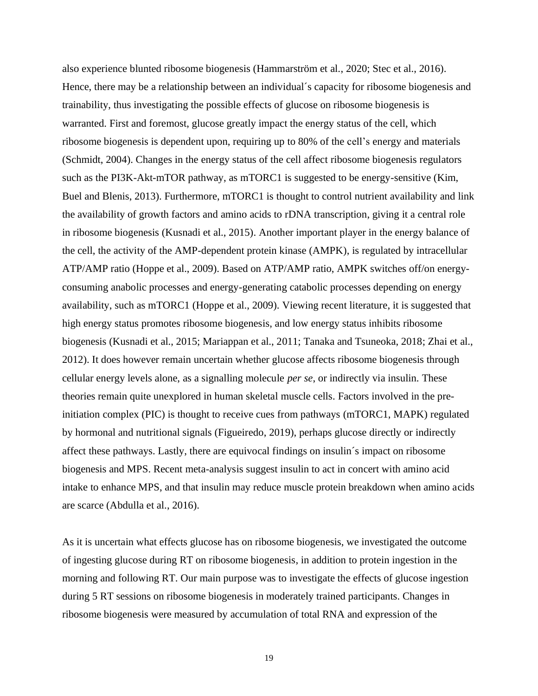also experience blunted ribosome biogenesis (Hammarström et al., 2020; Stec et al., 2016). Hence, there may be a relationship between an individual´s capacity for ribosome biogenesis and trainability, thus investigating the possible effects of glucose on ribosome biogenesis is warranted. First and foremost, glucose greatly impact the energy status of the cell, which ribosome biogenesis is dependent upon, requiring up to 80% of the cell's energy and materials (Schmidt, 2004). Changes in the energy status of the cell affect ribosome biogenesis regulators such as the PI3K-Akt-mTOR pathway, as mTORC1 is suggested to be energy-sensitive (Kim, Buel and Blenis, 2013). Furthermore, mTORC1 is thought to control nutrient availability and link the availability of growth factors and amino acids to rDNA transcription, giving it a central role in ribosome biogenesis (Kusnadi et al., 2015). Another important player in the energy balance of the cell, the activity of the AMP-dependent protein kinase (AMPK), is regulated by intracellular ATP/AMP ratio (Hoppe et al., 2009). Based on ATP/AMP ratio, AMPK switches off/on energyconsuming anabolic processes and energy-generating catabolic processes depending on energy availability, such as mTORC1 (Hoppe et al., 2009). Viewing recent literature, it is suggested that high energy status promotes ribosome biogenesis, and low energy status inhibits ribosome biogenesis (Kusnadi et al., 2015; Mariappan et al., 2011; Tanaka and Tsuneoka, 2018; Zhai et al., 2012). It does however remain uncertain whether glucose affects ribosome biogenesis through cellular energy levels alone, as a signalling molecule *per se*, or indirectly via insulin. These theories remain quite unexplored in human skeletal muscle cells. Factors involved in the preinitiation complex (PIC) is thought to receive cues from pathways (mTORC1, MAPK) regulated by hormonal and nutritional signals (Figueiredo, 2019), perhaps glucose directly or indirectly affect these pathways. Lastly, there are equivocal findings on insulin´s impact on ribosome biogenesis and MPS. Recent meta-analysis suggest insulin to act in concert with amino acid intake to enhance MPS, and that insulin may reduce muscle protein breakdown when amino acids are scarce (Abdulla et al., 2016).

As it is uncertain what effects glucose has on ribosome biogenesis, we investigated the outcome of ingesting glucose during RT on ribosome biogenesis, in addition to protein ingestion in the morning and following RT. Our main purpose was to investigate the effects of glucose ingestion during 5 RT sessions on ribosome biogenesis in moderately trained participants. Changes in ribosome biogenesis were measured by accumulation of total RNA and expression of the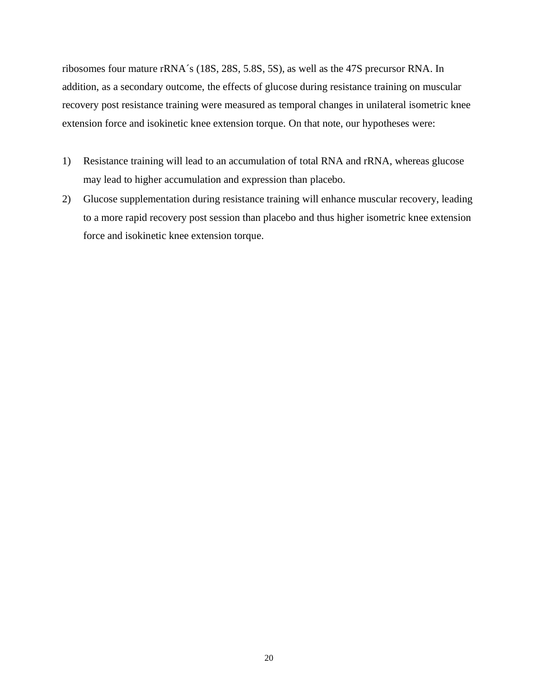ribosomes four mature rRNA´s (18S, 28S, 5.8S, 5S), as well as the 47S precursor RNA. In addition, as a secondary outcome, the effects of glucose during resistance training on muscular recovery post resistance training were measured as temporal changes in unilateral isometric knee extension force and isokinetic knee extension torque. On that note, our hypotheses were:

- 1) Resistance training will lead to an accumulation of total RNA and rRNA, whereas glucose may lead to higher accumulation and expression than placebo.
- 2) Glucose supplementation during resistance training will enhance muscular recovery, leading to a more rapid recovery post session than placebo and thus higher isometric knee extension force and isokinetic knee extension torque.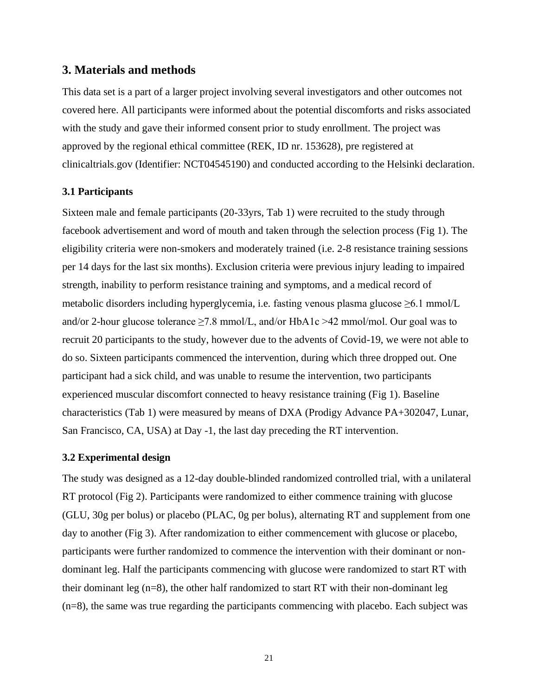## <span id="page-20-0"></span>**3. Materials and methods**

This data set is a part of a larger project involving several investigators and other outcomes not covered here. All participants were informed about the potential discomforts and risks associated with the study and gave their informed consent prior to study enrollment. The project was approved by the regional ethical committee (REK, ID nr. 153628), pre registered at clinicaltrials.gov (Identifier: NCT04545190) and conducted according to the Helsinki declaration.

#### <span id="page-20-1"></span>**3.1 Participants**

Sixteen male and female participants (20-33yrs, Tab 1) were recruited to the study through facebook advertisement and word of mouth and taken through the selection process (Fig 1). The eligibility criteria were non-smokers and moderately trained (i.e. 2-8 resistance training sessions per 14 days for the last six months). Exclusion criteria were previous injury leading to impaired strength, inability to perform resistance training and symptoms, and a medical record of metabolic disorders including hyperglycemia, i.e. fasting venous plasma glucose  $\geq 6.1$  mmol/L and/or 2-hour glucose tolerance  $\geq 7.8$  mmol/L, and/or HbA1c  $>42$  mmol/mol. Our goal was to recruit 20 participants to the study, however due to the advents of Covid-19, we were not able to do so. Sixteen participants commenced the intervention, during which three dropped out. One participant had a sick child, and was unable to resume the intervention, two participants experienced muscular discomfort connected to heavy resistance training (Fig 1). Baseline characteristics (Tab 1) were measured by means of DXA (Prodigy Advance PA+302047, Lunar, San Francisco, CA, USA) at Day -1, the last day preceding the RT intervention.

#### <span id="page-20-2"></span>**3.2 Experimental design**

The study was designed as a 12-day double-blinded randomized controlled trial, with a unilateral RT protocol (Fig 2). Participants were randomized to either commence training with glucose (GLU, 30g per bolus) or placebo (PLAC, 0g per bolus), alternating RT and supplement from one day to another (Fig 3). After randomization to either commencement with glucose or placebo, participants were further randomized to commence the intervention with their dominant or nondominant leg. Half the participants commencing with glucose were randomized to start RT with their dominant leg (n=8), the other half randomized to start RT with their non-dominant leg (n=8), the same was true regarding the participants commencing with placebo. Each subject was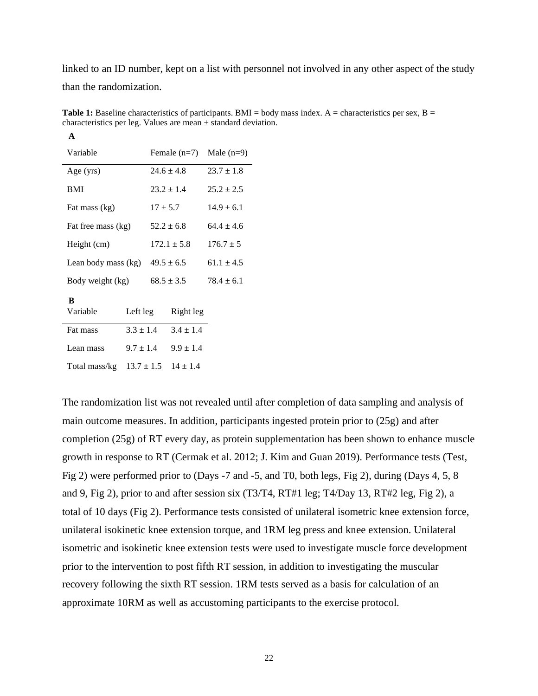linked to an ID number, kept on a list with personnel not involved in any other aspect of the study than the randomization.

| Variable            |               | Female $(n=7)$ |                 | Male $(n=9)$   |
|---------------------|---------------|----------------|-----------------|----------------|
| Age (yrs)           |               |                | $24.6 \pm 4.8$  | $23.7 \pm 1.8$ |
| BMI                 |               |                | $23.2 \pm 1.4$  | $25.2 \pm 2.5$ |
| Fat mass (kg)       |               | $17 \pm 5.7$   |                 | $14.9 \pm 6.1$ |
| Fat free mass (kg)  |               |                | $52.2 \pm 6.8$  | $64.4 \pm 4.6$ |
| Height (cm)         |               |                | $172.1 \pm 5.8$ | $176.7 \pm 5$  |
| Lean body mass (kg) |               | $49.5 \pm 6.5$ |                 | $61.1 \pm 4.5$ |
| Body weight (kg)    |               | $68.5 \pm 3.5$ |                 | $78.4 \pm 6.1$ |
| B                   |               |                |                 |                |
| Variable            | Left leg      |                | Right leg       |                |
| Fat mass            | $3.3 \pm 1.4$ |                | $3.4 \pm 1.4$   |                |
| Lean mass           | $9.7 \pm 1.4$ |                | $9.9 \pm 1.4$   |                |
| Total mass/kg       |               | $13.7 \pm 1.5$ | $14 \pm 1.4$    |                |

**A**

**Table 1:** Baseline characteristics of participants. BMI = body mass index.  $A =$  characteristics per sex,  $B =$ characteristics per leg. Values are mean  $\pm$  standard deviation.

The randomization list was not revealed until after completion of data sampling and analysis of main outcome measures. In addition, participants ingested protein prior to (25g) and after completion (25g) of RT every day, as protein supplementation has been shown to enhance muscle growth in response to RT (Cermak et al. 2012; J. Kim and Guan 2019). Performance tests (Test, Fig 2) were performed prior to (Days -7 and -5, and T0, both legs, Fig 2), during (Days 4, 5, 8 and 9, Fig 2), prior to and after session six (T3/T4, RT#1 leg; T4/Day 13, RT#2 leg, Fig 2), a total of 10 days (Fig 2). Performance tests consisted of unilateral isometric knee extension force, unilateral isokinetic knee extension torque, and 1RM leg press and knee extension. Unilateral isometric and isokinetic knee extension tests were used to investigate muscle force development prior to the intervention to post fifth RT session, in addition to investigating the muscular recovery following the sixth RT session. 1RM tests served as a basis for calculation of an approximate 10RM as well as accustoming participants to the exercise protocol.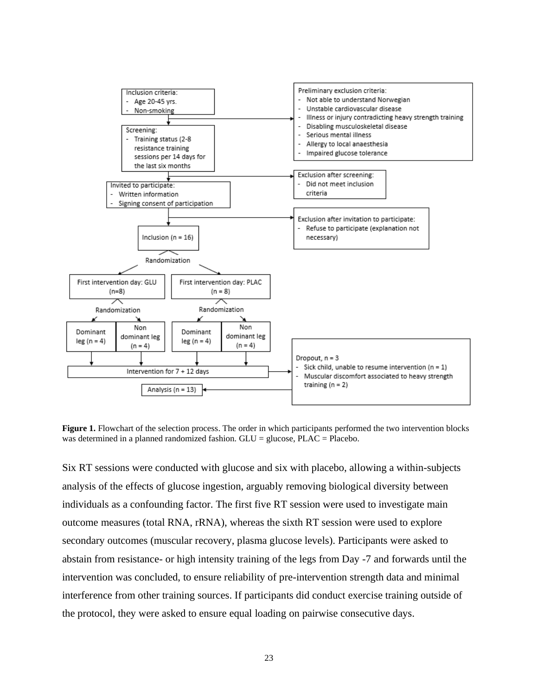

**Figure 1.** Flowchart of the selection process. The order in which participants performed the two intervention blocks was determined in a planned randomized fashion.  $GLU =$  glucose,  $PLAC =$  Placebo.

Six RT sessions were conducted with glucose and six with placebo, allowing a within-subjects analysis of the effects of glucose ingestion, arguably removing biological diversity between individuals as a confounding factor. The first five RT session were used to investigate main outcome measures (total RNA, rRNA), whereas the sixth RT session were used to explore secondary outcomes (muscular recovery, plasma glucose levels). Participants were asked to abstain from resistance- or high intensity training of the legs from Day -7 and forwards until the intervention was concluded, to ensure reliability of pre-intervention strength data and minimal interference from other training sources. If participants did conduct exercise training outside of the protocol, they were asked to ensure equal loading on pairwise consecutive days.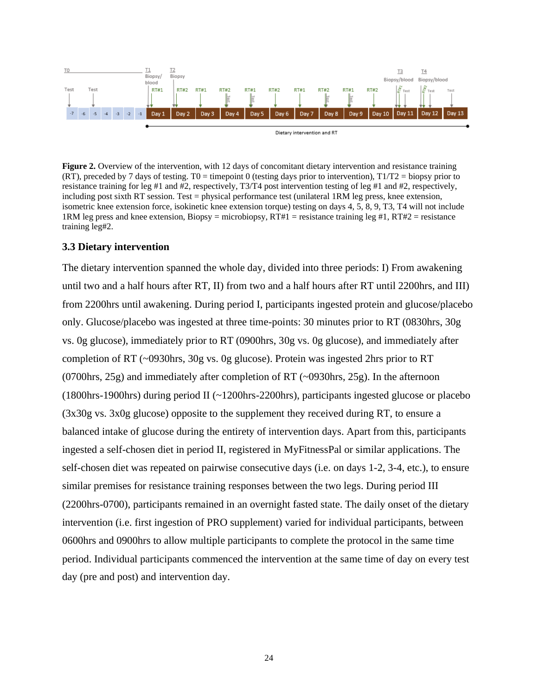

**Figure 2.** Overview of the intervention, with 12 days of concomitant dietary intervention and resistance training (RT), preceded by 7 days of testing. T0 = timepoint 0 (testing days prior to intervention),  $T1/T2$  = biopsy prior to resistance training for leg #1 and #2, respectively, T3/T4 post intervention testing of leg #1 and #2, respectively, including post sixth RT session. Test = physical performance test (unilateral 1RM leg press, knee extension, isometric knee extension force, isokinetic knee extension torque) testing on days 4, 5, 8, 9, T3, T4 will not include 1RM leg press and knee extension, Biopsy = microbiopsy, RT#1 = resistance training leg #1, RT#2 = resistance training leg#2.

## <span id="page-23-0"></span>**3.3 Dietary intervention**

The dietary intervention spanned the whole day, divided into three periods: I) From awakening until two and a half hours after RT, II) from two and a half hours after RT until 2200hrs, and III) from 2200hrs until awakening. During period I, participants ingested protein and glucose/placebo only. Glucose/placebo was ingested at three time-points: 30 minutes prior to RT (0830hrs, 30g vs. 0g glucose), immediately prior to RT (0900hrs, 30g vs. 0g glucose), and immediately after completion of RT (~0930hrs, 30g vs. 0g glucose). Protein was ingested 2hrs prior to RT (0700hrs, 25g) and immediately after completion of RT (~0930hrs, 25g). In the afternoon (1800hrs-1900hrs) during period II (~1200hrs-2200hrs), participants ingested glucose or placebo (3x30g vs. 3x0g glucose) opposite to the supplement they received during RT, to ensure a balanced intake of glucose during the entirety of intervention days. Apart from this, participants ingested a self-chosen diet in period II, registered in MyFitnessPal or similar applications. The self-chosen diet was repeated on pairwise consecutive days (i.e. on days 1-2, 3-4, etc.), to ensure similar premises for resistance training responses between the two legs. During period III (2200hrs-0700), participants remained in an overnight fasted state. The daily onset of the dietary intervention (i.e. first ingestion of PRO supplement) varied for individual participants, between 0600hrs and 0900hrs to allow multiple participants to complete the protocol in the same time period. Individual participants commenced the intervention at the same time of day on every test day (pre and post) and intervention day.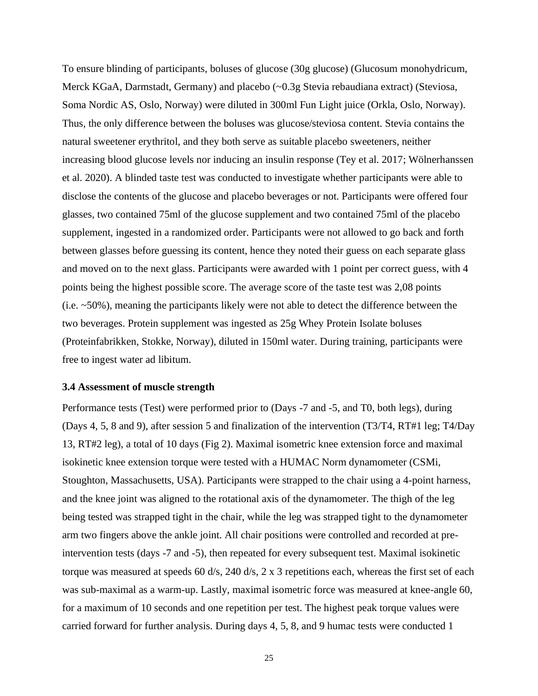To ensure blinding of participants, boluses of glucose (30g glucose) (Glucosum monohydricum, Merck KGaA, Darmstadt, Germany) and placebo (~0.3g Stevia rebaudiana extract) (Steviosa, Soma Nordic AS, Oslo, Norway) were diluted in 300ml Fun Light juice (Orkla, Oslo, Norway). Thus, the only difference between the boluses was glucose/steviosa content. Stevia contains the natural sweetener erythritol, and they both serve as suitable placebo sweeteners, neither increasing blood glucose levels nor inducing an insulin response (Tey et al. 2017; Wölnerhanssen et al. 2020). A blinded taste test was conducted to investigate whether participants were able to disclose the contents of the glucose and placebo beverages or not. Participants were offered four glasses, two contained 75ml of the glucose supplement and two contained 75ml of the placebo supplement, ingested in a randomized order. Participants were not allowed to go back and forth between glasses before guessing its content, hence they noted their guess on each separate glass and moved on to the next glass. Participants were awarded with 1 point per correct guess, with 4 points being the highest possible score. The average score of the taste test was 2,08 points (i.e. ~50%), meaning the participants likely were not able to detect the difference between the two beverages. Protein supplement was ingested as 25g Whey Protein Isolate boluses (Proteinfabrikken, Stokke, Norway), diluted in 150ml water. During training, participants were free to ingest water ad libitum.

#### <span id="page-24-0"></span>**3.4 Assessment of muscle strength**

Performance tests (Test) were performed prior to (Days -7 and -5, and T0, both legs), during (Days 4, 5, 8 and 9), after session 5 and finalization of the intervention (T3/T4, RT#1 leg; T4/Day 13, RT#2 leg), a total of 10 days (Fig 2). Maximal isometric knee extension force and maximal isokinetic knee extension torque were tested with a HUMAC Norm dynamometer (CSMi, Stoughton, Massachusetts, USA). Participants were strapped to the chair using a 4-point harness, and the knee joint was aligned to the rotational axis of the dynamometer. The thigh of the leg being tested was strapped tight in the chair, while the leg was strapped tight to the dynamometer arm two fingers above the ankle joint. All chair positions were controlled and recorded at preintervention tests (days -7 and -5), then repeated for every subsequent test. Maximal isokinetic torque was measured at speeds 60 d/s, 240 d/s, 2 x 3 repetitions each, whereas the first set of each was sub-maximal as a warm-up. Lastly, maximal isometric force was measured at knee-angle 60, for a maximum of 10 seconds and one repetition per test. The highest peak torque values were carried forward for further analysis. During days 4, 5, 8, and 9 humac tests were conducted 1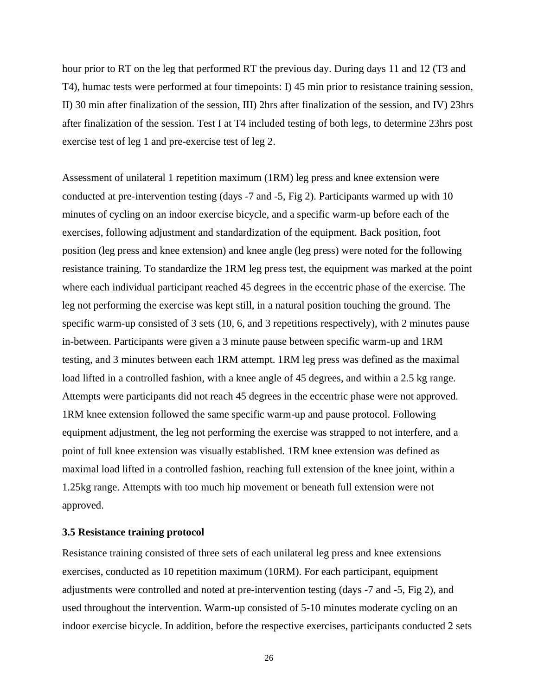hour prior to RT on the leg that performed RT the previous day. During days 11 and 12 (T3 and T4), humac tests were performed at four timepoints: I) 45 min prior to resistance training session, II) 30 min after finalization of the session, III) 2hrs after finalization of the session, and IV) 23hrs after finalization of the session. Test I at T4 included testing of both legs, to determine 23hrs post exercise test of leg 1 and pre-exercise test of leg 2.

Assessment of unilateral 1 repetition maximum (1RM) leg press and knee extension were conducted at pre-intervention testing (days -7 and -5, Fig 2). Participants warmed up with 10 minutes of cycling on an indoor exercise bicycle, and a specific warm-up before each of the exercises, following adjustment and standardization of the equipment. Back position, foot position (leg press and knee extension) and knee angle (leg press) were noted for the following resistance training. To standardize the 1RM leg press test, the equipment was marked at the point where each individual participant reached 45 degrees in the eccentric phase of the exercise. The leg not performing the exercise was kept still, in a natural position touching the ground. The specific warm-up consisted of 3 sets (10, 6, and 3 repetitions respectively), with 2 minutes pause in-between. Participants were given a 3 minute pause between specific warm-up and 1RM testing, and 3 minutes between each 1RM attempt. 1RM leg press was defined as the maximal load lifted in a controlled fashion, with a knee angle of 45 degrees, and within a 2.5 kg range. Attempts were participants did not reach 45 degrees in the eccentric phase were not approved. 1RM knee extension followed the same specific warm-up and pause protocol. Following equipment adjustment, the leg not performing the exercise was strapped to not interfere, and a point of full knee extension was visually established. 1RM knee extension was defined as maximal load lifted in a controlled fashion, reaching full extension of the knee joint, within a 1.25kg range. Attempts with too much hip movement or beneath full extension were not approved.

#### <span id="page-25-0"></span>**3.5 Resistance training protocol**

Resistance training consisted of three sets of each unilateral leg press and knee extensions exercises, conducted as 10 repetition maximum (10RM). For each participant, equipment adjustments were controlled and noted at pre-intervention testing (days -7 and -5, Fig 2), and used throughout the intervention. Warm-up consisted of 5-10 minutes moderate cycling on an indoor exercise bicycle. In addition, before the respective exercises, participants conducted 2 sets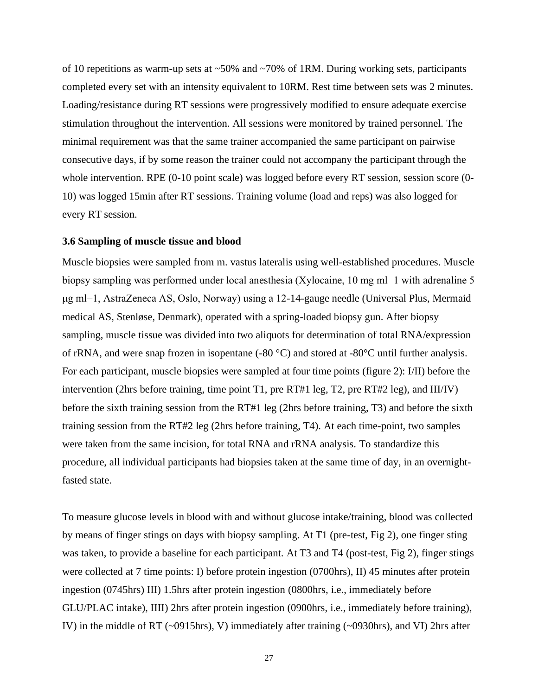of 10 repetitions as warm-up sets at ~50% and ~70% of 1RM. During working sets, participants completed every set with an intensity equivalent to 10RM. Rest time between sets was 2 minutes. Loading/resistance during RT sessions were progressively modified to ensure adequate exercise stimulation throughout the intervention. All sessions were monitored by trained personnel. The minimal requirement was that the same trainer accompanied the same participant on pairwise consecutive days, if by some reason the trainer could not accompany the participant through the whole intervention. RPE (0-10 point scale) was logged before every RT session, session score (0-10) was logged 15min after RT sessions. Training volume (load and reps) was also logged for every RT session.

#### <span id="page-26-0"></span>**3.6 Sampling of muscle tissue and blood**

Muscle biopsies were sampled from m. vastus lateralis using well-established procedures. Muscle biopsy sampling was performed under local anesthesia (Xylocaine, 10 mg ml−1 with adrenaline 5 μg ml−1, AstraZeneca AS, Oslo, Norway) using a 12-14-gauge needle (Universal Plus, Mermaid medical AS, Stenløse, Denmark), operated with a spring-loaded biopsy gun. After biopsy sampling, muscle tissue was divided into two aliquots for determination of total RNA/expression of rRNA, and were snap frozen in isopentane (-80  $^{\circ}$ C) and stored at -80 $^{\circ}$ C until further analysis. For each participant, muscle biopsies were sampled at four time points (figure 2): I/II) before the intervention (2hrs before training, time point T1, pre RT#1 leg, T2, pre RT#2 leg), and III/IV) before the sixth training session from the RT#1 leg (2hrs before training, T3) and before the sixth training session from the RT#2 leg (2hrs before training, T4). At each time-point, two samples were taken from the same incision, for total RNA and rRNA analysis. To standardize this procedure, all individual participants had biopsies taken at the same time of day, in an overnightfasted state.

To measure glucose levels in blood with and without glucose intake/training, blood was collected by means of finger stings on days with biopsy sampling. At T1 (pre-test, Fig 2), one finger sting was taken, to provide a baseline for each participant. At T3 and T4 (post-test, Fig 2), finger stings were collected at 7 time points: I) before protein ingestion (0700hrs), II) 45 minutes after protein ingestion (0745hrs) III) 1.5hrs after protein ingestion (0800hrs, i.e., immediately before GLU/PLAC intake), IIII) 2hrs after protein ingestion (0900hrs, i.e., immediately before training), IV) in the middle of RT (~0915hrs), V) immediately after training (~0930hrs), and VI) 2hrs after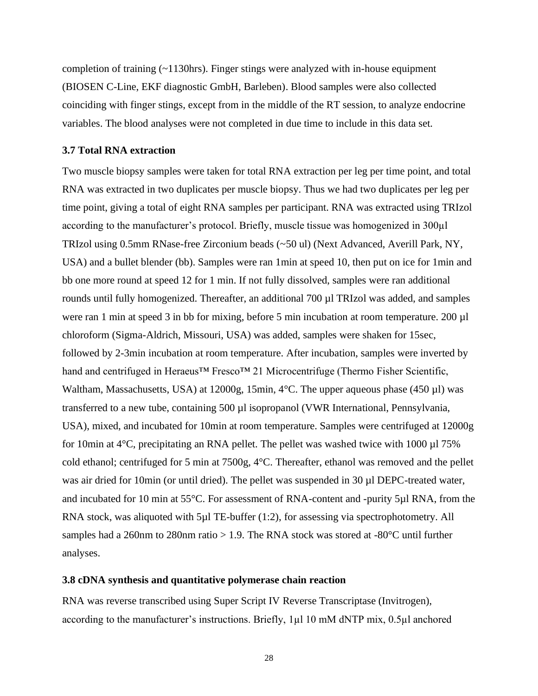completion of training (~1130hrs). Finger stings were analyzed with in-house equipment (BIOSEN C-Line, EKF diagnostic GmbH, Barleben). Blood samples were also collected coinciding with finger stings, except from in the middle of the RT session, to analyze endocrine variables. The blood analyses were not completed in due time to include in this data set.

#### <span id="page-27-0"></span>**3.7 Total RNA extraction**

Two muscle biopsy samples were taken for total RNA extraction per leg per time point, and total RNA was extracted in two duplicates per muscle biopsy. Thus we had two duplicates per leg per time point, giving a total of eight RNA samples per participant. RNA was extracted using TRIzol according to the manufacturer's protocol. Briefly, muscle tissue was homogenized in 300µl TRIzol using 0.5mm RNase-free Zirconium beads (~50 ul) (Next Advanced, Averill Park, NY, USA) and a bullet blender (bb). Samples were ran 1min at speed 10, then put on ice for 1min and bb one more round at speed 12 for 1 min. If not fully dissolved, samples were ran additional rounds until fully homogenized. Thereafter, an additional 700 µl TRIzol was added, and samples were ran 1 min at speed 3 in bb for mixing, before 5 min incubation at room temperature. 200 µl chloroform (Sigma-Aldrich, Missouri, USA) was added, samples were shaken for 15sec, followed by 2-3min incubation at room temperature. After incubation, samples were inverted by hand and centrifuged in Heraeus™ Fresco™ 21 Microcentrifuge (Thermo Fisher Scientific, Waltham, Massachusetts, USA) at 12000g, 15min, 4°C. The upper aqueous phase (450 µl) was transferred to a new tube, containing 500 µl isopropanol (VWR International, Pennsylvania, USA), mixed, and incubated for 10min at room temperature. Samples were centrifuged at 12000g for 10min at  $4^{\circ}$ C, precipitating an RNA pellet. The pellet was washed twice with 1000 µl 75% cold ethanol; centrifuged for 5 min at 7500g, 4°C. Thereafter, ethanol was removed and the pellet was air dried for 10min (or until dried). The pellet was suspended in 30 µl DEPC-treated water, and incubated for 10 min at 55°C. For assessment of RNA-content and -purity 5µl RNA, from the RNA stock, was aliquoted with 5µl TE-buffer (1:2), for assessing via spectrophotometry. All samples had a 260nm to 280nm ratio  $> 1.9$ . The RNA stock was stored at -80 $^{\circ}$ C until further analyses.

### <span id="page-27-1"></span>**3.8 cDNA synthesis and quantitative polymerase chain reaction**

RNA was reverse transcribed using Super Script IV Reverse Transcriptase (Invitrogen), according to the manufacturer's instructions. Briefly,  $1\mu$  10 mM dNTP mix,  $0.5\mu$ l anchored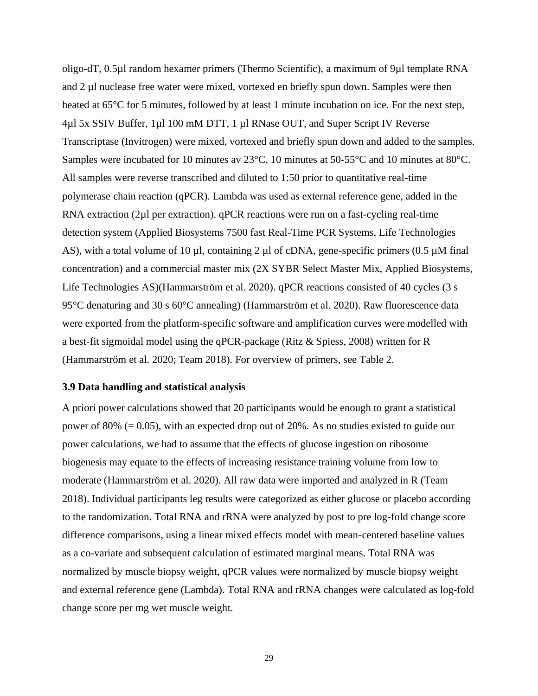oligo-dT, 0.5µl random hexamer primers (Thermo Scientific), a maximum of 9µl template RNA and 2 µl nuclease free water were mixed, vortexed en briefly spun down. Samples were then heated at 65<sup>o</sup>C for 5 minutes, followed by at least 1 minute incubation on ice. For the next step, 4µl 5x SSIV Buffer, 1µl 100 mM DTT, 1 µl RNase OUT, and Super Script IV Reverse Transcriptase (Invitrogen) were mixed, vortexed and briefly spun down and added to the samples. Samples were incubated for 10 minutes av 23°C, 10 minutes at 50-55°C and 10 minutes at 80°C. All samples were reverse transcribed and diluted to 1:50 prior to quantitative real-time polymerase chain reaction (qPCR). Lambda was used as external reference gene, added in the RNA extraction (2µl per extraction). qPCR reactions were run on a fast-cycling real-time detection system (Applied Biosystems 7500 fast Real-Time PCR Systems, Life Technologies AS), with a total volume of 10 µl, containing 2 µl of cDNA, gene-specific primers (0.5 µM final concentration) and a commercial master mix (2X SYBR Select Master Mix, Applied Biosystems, Life Technologies AS)(Hammarström et al. 2020). qPCR reactions consisted of 40 cycles (3 s 95°C denaturing and 30 s 60°C annealing) (Hammarström et al. 2020). Raw fluorescence data were exported from the platform-specific software and amplification curves were modelled with a best-fit sigmoidal model using the qPCR-package (Ritz & Spiess, 2008) written for R (Hammarström et al. 2020; Team 2018). For overview of primers, see Table 2.

#### <span id="page-28-0"></span>**3.9 Data handling and statistical analysis**

A priori power calculations showed that 20 participants would be enough to grant a statistical power of 80% (= 0.05), with an expected drop out of 20%. As no studies existed to guide our power calculations, we had to assume that the effects of glucose ingestion on ribosome biogenesis may equate to the effects of increasing resistance training volume from low to moderate (Hammarström et al. 2020). All raw data were imported and analyzed in R (Team 2018). Individual participants leg results were categorized as either glucose or placebo according to the randomization. Total RNA and rRNA were analyzed by post to pre log-fold change score difference comparisons, using a linear mixed effects model with mean-centered baseline values as a co-variate and subsequent calculation of estimated marginal means. Total RNA was normalized by muscle biopsy weight, qPCR values were normalized by muscle biopsy weight and external reference gene (Lambda). Total RNA and rRNA changes were calculated as log-fold change score per mg wet muscle weight.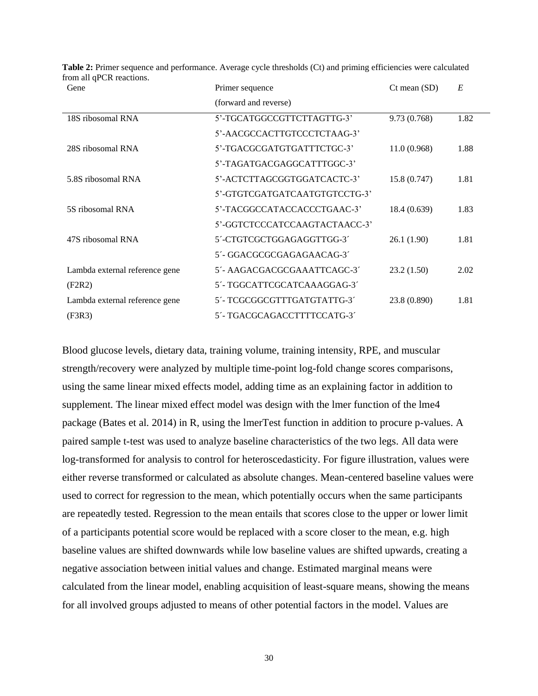| Gene                           | Primer sequence               | $Ct$ mean $(SD)$ | E    |
|--------------------------------|-------------------------------|------------------|------|
|                                | (forward and reverse)         |                  |      |
| 18S ribosomal RNA              | 5'-TGCATGGCCGTTCTTAGTTG-3'    | 9.73 (0.768)     | 1.82 |
|                                | 5'-AACGCCACTTGTCCCTCTAAG-3'   |                  |      |
| 28S ribosomal RNA              | 5'-TGACGCGATGTGATTTCTGC-3'    | 11.0(0.968)      | 1.88 |
|                                | 5'-TAGATGACGAGGCATTTGGC-3'    |                  |      |
| 5.8S ribosomal RNA             | 5'-ACTCTTAGCGGTGGATCACTC-3'   | 15.8 (0.747)     | 1.81 |
|                                | 5'-GTGTCGATGATCAATGTGTCCTG-3' |                  |      |
| 5S ribosomal RNA               | 5'-TACGGCCATACCACCCTGAAC-3'   | 18.4 (0.639)     | 1.83 |
|                                | 5'-GGTCTCCCATCCAAGTACTAACC-3' |                  |      |
| 47S ribosomal RNA              | 5'-CTGTCGCTGGAGAGGTTGG-3'     | 26.1 (1.90)      | 1.81 |
|                                | 5'-GGACGCGCGAGAGAACAG-3'      |                  |      |
| Lambda external reference gene | 5'- AAGACGACGCGAAATTCAGC-3'   | 23.2(1.50)       | 2.02 |
| (F2R2)                         | 5'- TGGCATTCGCATCAAAGGAG-3'   |                  |      |
| Lambda external reference gene | 5'-TCGCGGCGTTTGATGTATTG-3'    | 23.8 (0.890)     | 1.81 |
| (F3R3)                         | 5´- TGACGCAGACCTTTTCCATG-3´   |                  |      |

**Table 2:** Primer sequence and performance. Average cycle thresholds (Ct) and priming efficiencies were calculated from all qPCR reactions.

Blood glucose levels, dietary data, training volume, training intensity, RPE, and muscular strength/recovery were analyzed by multiple time-point log-fold change scores comparisons, using the same linear mixed effects model, adding time as an explaining factor in addition to supplement. The linear mixed effect model was design with the lmer function of the lme4 package (Bates et al. 2014) in R, using the lmerTest function in addition to procure p-values. A paired sample t-test was used to analyze baseline characteristics of the two legs. All data were log-transformed for analysis to control for heteroscedasticity. For figure illustration, values were either reverse transformed or calculated as absolute changes. Mean-centered baseline values were used to correct for regression to the mean, which potentially occurs when the same participants are repeatedly tested. Regression to the mean entails that scores close to the upper or lower limit of a participants potential score would be replaced with a score closer to the mean, e.g. high baseline values are shifted downwards while low baseline values are shifted upwards, creating a negative association between initial values and change. Estimated marginal means were calculated from the linear model, enabling acquisition of least-square means, showing the means for all involved groups adjusted to means of other potential factors in the model. Values are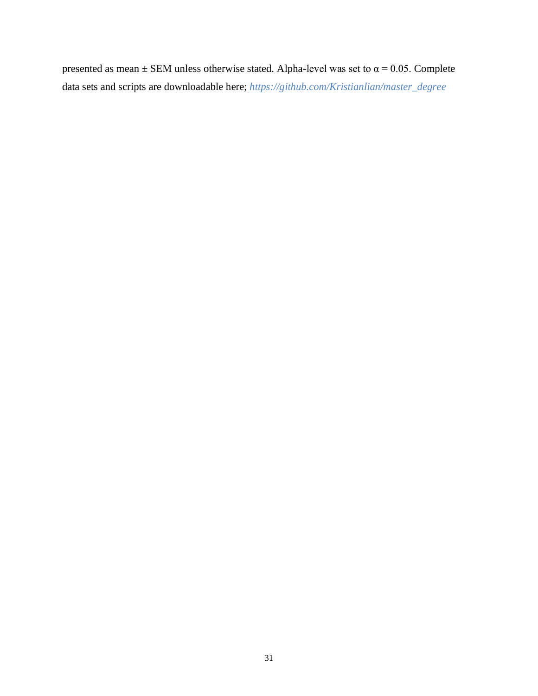presented as mean  $\pm$  SEM unless otherwise stated. Alpha-level was set to  $\alpha$  = 0.05. Complete data sets and scripts are downloadable here; *[https://github.com/Kristianlian/master\\_degree](https://github.com/Kristianlian/master_degree)*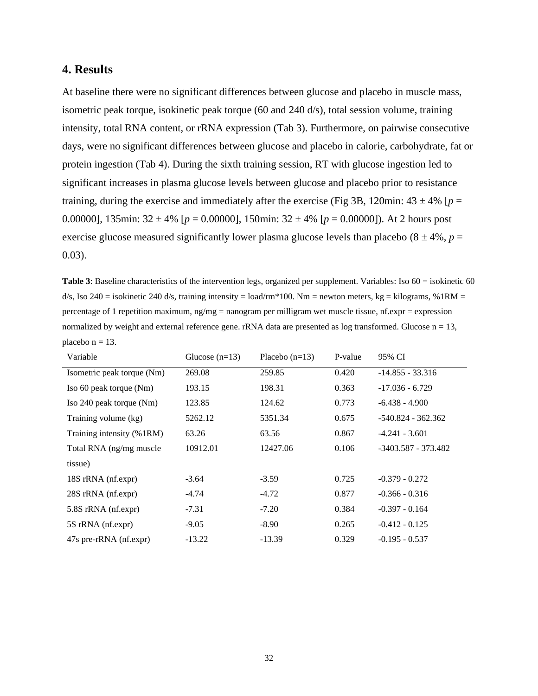# <span id="page-31-0"></span>**4. Results**

At baseline there were no significant differences between glucose and placebo in muscle mass, isometric peak torque, isokinetic peak torque (60 and 240 d/s), total session volume, training intensity, total RNA content, or rRNA expression (Tab 3). Furthermore, on pairwise consecutive days, were no significant differences between glucose and placebo in calorie, carbohydrate, fat or protein ingestion (Tab 4). During the sixth training session, RT with glucose ingestion led to significant increases in plasma glucose levels between glucose and placebo prior to resistance training, during the exercise and immediately after the exercise (Fig 3B, 120min:  $43 \pm 4\%$  [ $p =$ 0.00000], 135min:  $32 \pm 4\%$  [ $p = 0.00000$ ], 150min:  $32 \pm 4\%$  [ $p = 0.00000$ ]). At 2 hours post exercise glucose measured significantly lower plasma glucose levels than placebo  $(8 \pm 4\%, p =$ 0.03).

**Table 3**: Baseline characteristics of the intervention legs, organized per supplement. Variables: Iso 60 = isokinetic 60  $d/s$ , Iso 240 = isokinetic 240 d/s, training intensity = load/rm\*100. Nm = newton meters, kg = kilograms, %1RM = percentage of 1 repetition maximum, ng/mg = nanogram per milligram wet muscle tissue, nf.expr = expression normalized by weight and external reference gene.  $rRNA$  data are presented as log transformed. Glucose  $n = 13$ , placebo  $n = 13$ .

| Variable                   | Glucose $(n=13)$ | Placebo $(n=13)$ | P-value | 95% CI               |
|----------------------------|------------------|------------------|---------|----------------------|
| Isometric peak torque (Nm) | 269.08           | 259.85           | 0.420   | $-14.855 - 33.316$   |
| Iso 60 peak torque (Nm)    | 193.15           | 198.31           | 0.363   | $-17.036 - 6.729$    |
| Iso 240 peak torque (Nm)   | 123.85           | 124.62           | 0.773   | $-6.438 - 4.900$     |
| Training volume (kg)       | 5262.12          | 5351.34          | 0.675   | $-540.824 - 362.362$ |
| Training intensity (%1RM)  | 63.26            | 63.56            | 0.867   | $-4.241 - 3.601$     |
| Total RNA (ng/mg muscle)   | 10912.01         | 12427.06         | 0.106   | -3403.587 - 373.482  |
| tissue)                    |                  |                  |         |                      |
| 18S rRNA (nf.expr)         | $-3.64$          | $-3.59$          | 0.725   | $-0.379 - 0.272$     |
| 28S rRNA (nf.expr)         | $-4.74$          | $-4.72$          | 0.877   | $-0.366 - 0.316$     |
| 5.8S rRNA (nf.expr)        | $-7.31$          | $-7.20$          | 0.384   | $-0.397 - 0.164$     |
| 5S rRNA (nf.expr)          | $-9.05$          | $-8.90$          | 0.265   | $-0.412 - 0.125$     |
| 47s pre-rRNA (nf.expr)     | $-13.22$         | $-13.39$         | 0.329   | $-0.195 - 0.537$     |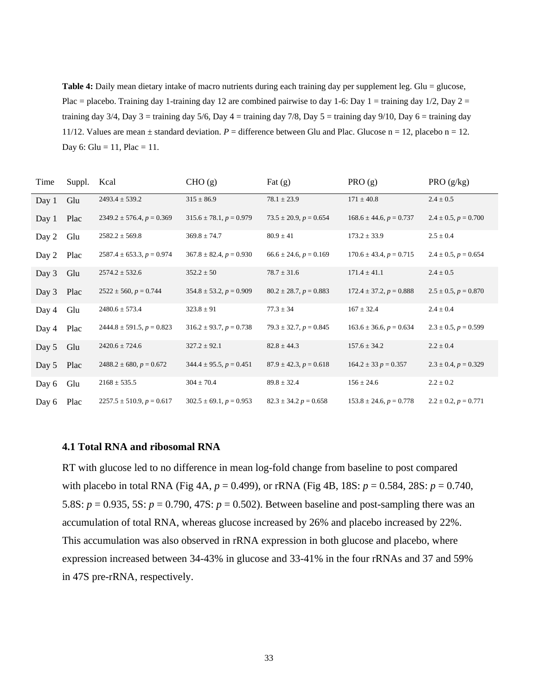**Table 4:** Daily mean dietary intake of macro nutrients during each training day per supplement leg. Glu = glucose, Plac = placebo. Training day 1-training day 12 are combined pairwise to day 1-6: Day 1 = training day 1/2, Day 2 = training day  $3/4$ , Day  $3 =$  training day  $5/6$ , Day  $4 =$  training day  $7/8$ , Day  $5 =$  training day  $9/10$ , Day  $6 =$  training day 11/12. Values are mean  $\pm$  standard deviation.  $P =$  difference between Glu and Plac. Glucose n = 12, placebo n = 12. Day 6: Glu = 11, Plac = 11.

| Time  | Suppl. | Kcal                             | CHO (g)                     | Fat $(g)$                  | PRO(g)                      | PRO $(g/kg)$                |
|-------|--------|----------------------------------|-----------------------------|----------------------------|-----------------------------|-----------------------------|
| Day 1 | Glu    | $2493.4 \pm 539.2$               | $315 \pm 86.9$              | $78.1 \pm 23.9$            | $171 \pm 40.8$              | $2.4 \pm 0.5$               |
| Day 1 | Plac   | $2349.2 \pm 576.4$ , $p = 0.369$ | $315.6 \pm 78.1, p = 0.979$ | $73.5 \pm 20.9, p = 0.654$ | $168.6 \pm 44.6, p = 0.737$ | $2.4 \pm 0.5$ , $p = 0.700$ |
| Day 2 | Glu    | $2582.2 \pm 569.8$               | $369.8 \pm 74.7$            | $80.9 \pm 41$              | $173.2 \pm 33.9$            | $2.5 \pm 0.4$               |
| Day 2 | Plac   | $2587.4 \pm 653.3, p = 0.974$    | $367.8 \pm 82.4, p = 0.930$ | $66.6 \pm 24.6, p = 0.169$ | $170.6 \pm 43.4, p = 0.715$ | $2.4 \pm 0.5$ , $p = 0.654$ |
| Day 3 | Glu    | $2574.2 \pm 532.6$               | $352.2 \pm 50$              | $78.7 \pm 31.6$            | $171.4 \pm 41.1$            | $2.4 \pm 0.5$               |
| Day 3 | Plac   | $2522 \pm 560$ , $p = 0.744$     | $354.8 \pm 53.2, p = 0.909$ | $80.2 \pm 28.7, p = 0.883$ | $172.4 \pm 37.2, p = 0.888$ | $2.5 \pm 0.5$ , $p = 0.870$ |
| Day 4 | Glu    | $2480.6 \pm 573.4$               | $323.8 \pm 91$              | $77.3 \pm 34$              | $167 \pm 32.4$              | $2.4 \pm 0.4$               |
| Day 4 | Plac   | $2444.8 \pm 591.5, p = 0.823$    | $316.2 \pm 93.7, p = 0.738$ | $79.3 \pm 32.7, p = 0.845$ | $163.6 \pm 36.6, p = 0.634$ | $2.3 \pm 0.5$ , $p = 0.599$ |
| Day 5 | Glu    | $2420.6 \pm 724.6$               | $327.2 \pm 92.1$            | $82.8 \pm 44.3$            | $157.6 \pm 34.2$            | $2.2 \pm 0.4$               |
| Day 5 | Plac   | $2488.2 \pm 680, p = 0.672$      | $344.4 \pm 95.5, p = 0.451$ | $87.9 \pm 42.3, p = 0.618$ | $164.2 \pm 33 p = 0.357$    | $2.3 \pm 0.4$ , $p = 0.329$ |
| Day 6 | Glu    | $2168 \pm 535.5$                 | $304 \pm 70.4$              | $89.8 \pm 32.4$            | $156 \pm 24.6$              | $2.2 \pm 0.2$               |
| Day 6 | Plac   | $2257.5 \pm 510.9, p = 0.617$    | $302.5 \pm 69.1, p = 0.953$ | $82.3 \pm 34.2 p = 0.658$  | $153.8 \pm 24.6, p = 0.778$ | $2.2 \pm 0.2$ , $p = 0.771$ |

#### <span id="page-32-0"></span>**4.1 Total RNA and ribosomal RNA**

RT with glucose led to no difference in mean log-fold change from baseline to post compared with placebo in total RNA (Fig 4A, *p* = 0.499), or rRNA (Fig 4B, 18S: *p* = 0.584, 28S: *p* = 0.740, 5.8S:  $p = 0.935$ , 5S:  $p = 0.790$ , 47S:  $p = 0.502$ ). Between baseline and post-sampling there was an accumulation of total RNA, whereas glucose increased by 26% and placebo increased by 22%. This accumulation was also observed in rRNA expression in both glucose and placebo, where expression increased between 34-43% in glucose and 33-41% in the four rRNAs and 37 and 59% in 47S pre-rRNA, respectively.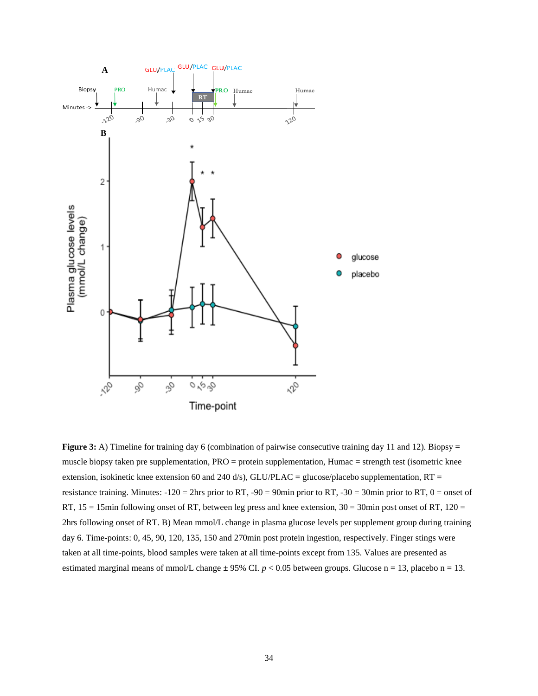

**Figure 3:** A) Timeline for training day 6 (combination of pairwise consecutive training day 11 and 12). Biopsy = muscle biopsy taken pre supplementation, PRO = protein supplementation, Humac = strength test (isometric knee extension, isokinetic knee extension 60 and 240 d/s), GLU/PLAC = glucose/placebo supplementation, RT = resistance training. Minutes:  $-120 = 2$ hrs prior to RT,  $-90 = 90$ min prior to RT,  $-30 = 30$ min prior to RT,  $0 =$  onset of RT,  $15 = 15$ min following onset of RT, between leg press and knee extension,  $30 = 30$ min post onset of RT,  $120 =$ 2hrs following onset of RT. B) Mean mmol/L change in plasma glucose levels per supplement group during training day 6. Time-points: 0, 45, 90, 120, 135, 150 and 270min post protein ingestion, respectively. Finger stings were taken at all time-points, blood samples were taken at all time-points except from 135. Values are presented as estimated marginal means of mmol/L change  $\pm$  95% CI.  $p < 0.05$  between groups. Glucose n = 13, placebo n = 13.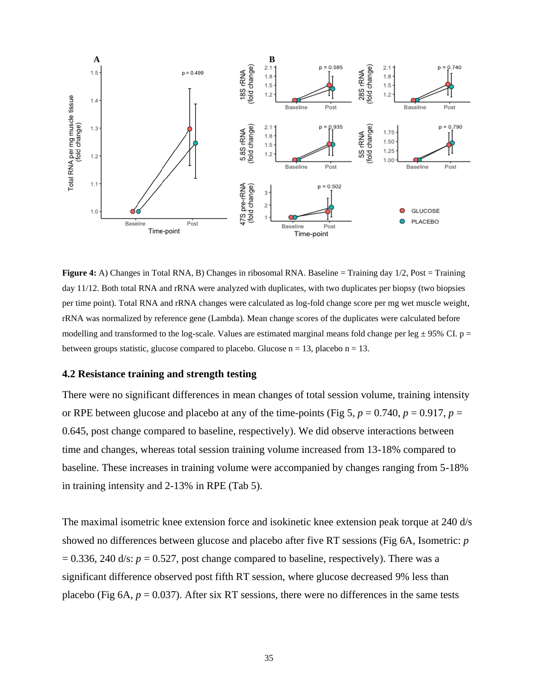

**Figure 4:** A) Changes in Total RNA, B) Changes in ribosomal RNA. Baseline = Training day 1/2, Post = Training day 11/12. Both total RNA and rRNA were analyzed with duplicates, with two duplicates per biopsy (two biopsies per time point). Total RNA and rRNA changes were calculated as log-fold change score per mg wet muscle weight, rRNA was normalized by reference gene (Lambda). Mean change scores of the duplicates were calculated before modelling and transformed to the log-scale. Values are estimated marginal means fold change per leg  $\pm$  95% CI. p = between groups statistic, glucose compared to placebo. Glucose  $n = 13$ , placebo  $n = 13$ .

#### <span id="page-34-0"></span>**4.2 Resistance training and strength testing**

There were no significant differences in mean changes of total session volume, training intensity or RPE between glucose and placebo at any of the time-points (Fig 5,  $p = 0.740$ ,  $p = 0.917$ ,  $p =$ 0.645, post change compared to baseline, respectively). We did observe interactions between time and changes, whereas total session training volume increased from 13-18% compared to baseline. These increases in training volume were accompanied by changes ranging from 5-18% in training intensity and 2-13% in RPE (Tab 5).

The maximal isometric knee extension force and isokinetic knee extension peak torque at 240 d/s showed no differences between glucose and placebo after five RT sessions (Fig 6A, Isometric: *p*  $= 0.336$ , 240 d/s:  $p = 0.527$ , post change compared to baseline, respectively). There was a significant difference observed post fifth RT session, where glucose decreased 9% less than placebo (Fig 6A,  $p = 0.037$ ). After six RT sessions, there were no differences in the same tests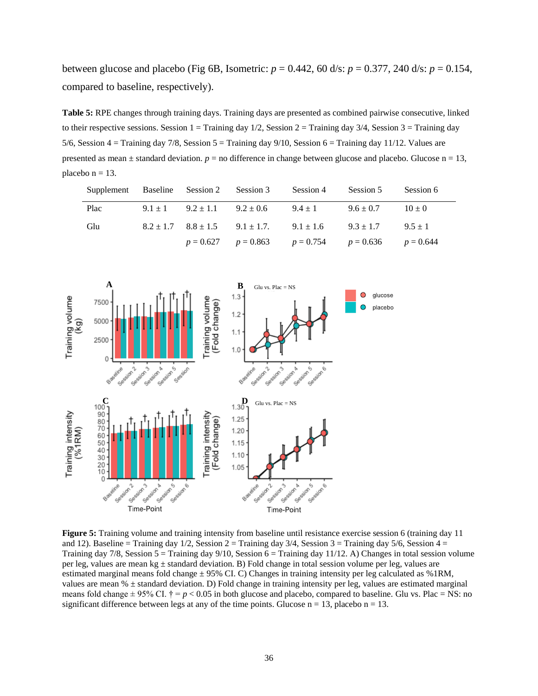between glucose and placebo (Fig 6B, Isometric:  $p = 0.442$ , 60 d/s:  $p = 0.377$ , 240 d/s:  $p = 0.154$ , compared to baseline, respectively).

**Table 5:** RPE changes through training days. Training days are presented as combined pairwise consecutive, linked to their respective sessions. Session  $1 =$  Training day  $1/2$ , Session  $2 =$  Training day  $3/4$ , Session  $3 =$  Training day 5/6, Session  $4 =$  Training day 7/8, Session  $5 =$  Training day 9/10, Session  $6 =$  Training day 11/12. Values are presented as mean  $\pm$  standard deviation.  $p =$  no difference in change between glucose and placebo. Glucose  $n = 13$ , placebo  $n = 13$ .

| Supplement Baseline Session 2 Session 3 |                             |                                                             | Session 4   | Session 5     | Session 6   |
|-----------------------------------------|-----------------------------|-------------------------------------------------------------|-------------|---------------|-------------|
| Plac                                    | $9.1 \pm 1$ $9.2 \pm 1.1$   | $9.2 \pm 0.6$                                               | $9.4 \pm 1$ | $9.6 \pm 0.7$ | $10 \pm 0$  |
| Glu                                     | $8.2 \pm 1.7$ $8.8 \pm 1.5$ | $9.1 \pm 1.7$ $9.1 \pm 1.6$                                 |             | $9.3 \pm 1.7$ | $9.5 \pm 1$ |
|                                         |                             | $p = 0.627$ $p = 0.863$ $p = 0.754$ $p = 0.636$ $p = 0.644$ |             |               |             |
|                                         |                             |                                                             |             |               |             |



**Figure 5:** Training volume and training intensity from baseline until resistance exercise session 6 (training day 11 and 12). Baseline = Training day  $1/2$ , Session 2 = Training day  $3/4$ , Session 3 = Training day  $5/6$ , Session 4 = Training day  $7/8$ , Session  $5 =$  Training day  $9/10$ , Session  $6 =$  Training day  $11/12$ . A) Changes in total session volume per leg, values are mean kg ± standard deviation. B) Fold change in total session volume per leg, values are estimated marginal means fold change  $\pm$  95% CI. C) Changes in training intensity per leg calculated as %1RM, values are mean % ± standard deviation. D) Fold change in training intensity per leg, values are estimated marginal means fold change  $\pm$  95% CI.  $\dagger$  = *p* < 0.05 in both glucose and placebo, compared to baseline. Glu vs. Plac = NS: no significant difference between legs at any of the time points. Glucose  $n = 13$ , placebo  $n = 13$ .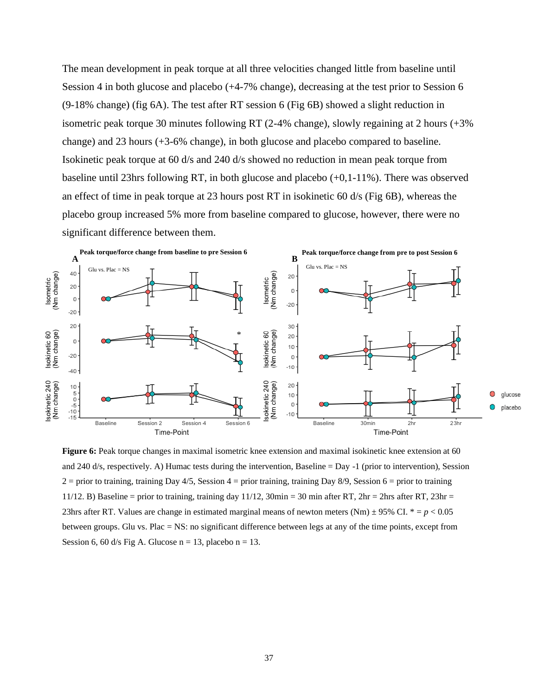The mean development in peak torque at all three velocities changed little from baseline until Session 4 in both glucose and placebo (+4-7% change), decreasing at the test prior to Session 6 (9-18% change) (fig 6A). The test after RT session 6 (Fig 6B) showed a slight reduction in isometric peak torque 30 minutes following RT (2-4% change), slowly regaining at 2 hours (+3% change) and 23 hours (+3-6% change), in both glucose and placebo compared to baseline. Isokinetic peak torque at 60 d/s and 240 d/s showed no reduction in mean peak torque from baseline until 23hrs following RT, in both glucose and placebo (+0,1-11%). There was observed an effect of time in peak torque at 23 hours post RT in isokinetic 60 d/s (Fig 6B), whereas the placebo group increased 5% more from baseline compared to glucose, however, there were no significant difference between them.



**Figure 6:** Peak torque changes in maximal isometric knee extension and maximal isokinetic knee extension at 60 and 240 d/s, respectively. A) Humac tests during the intervention, Baseline  $=$  Day  $-1$  (prior to intervention), Session  $2 =$  prior to training, training Day 4/5, Session 4 = prior training, training Day 8/9, Session 6 = prior to training 11/12. B) Baseline = prior to training, training day 11/12,  $30$ min = 30 min after RT,  $2hr = 2hr$ s after RT,  $23hr =$ 23hrs after RT. Values are change in estimated marginal means of newton meters (Nm)  $\pm$  95% CI.  $* = p < 0.05$ between groups. Glu vs. Plac = NS: no significant difference between legs at any of the time points, except from Session 6, 60 d/s Fig A. Glucose  $n = 13$ , placebo  $n = 13$ .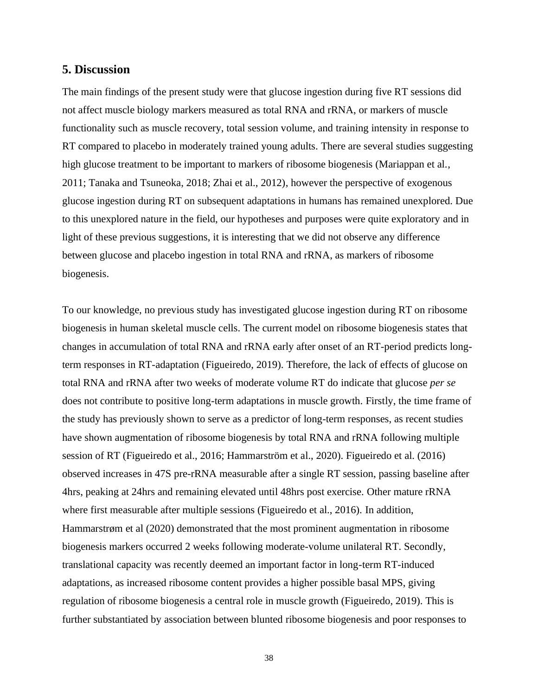# <span id="page-37-0"></span>**5. Discussion**

The main findings of the present study were that glucose ingestion during five RT sessions did not affect muscle biology markers measured as total RNA and rRNA, or markers of muscle functionality such as muscle recovery, total session volume, and training intensity in response to RT compared to placebo in moderately trained young adults. There are several studies suggesting high glucose treatment to be important to markers of ribosome biogenesis (Mariappan et al., 2011; Tanaka and Tsuneoka, 2018; Zhai et al., 2012), however the perspective of exogenous glucose ingestion during RT on subsequent adaptations in humans has remained unexplored. Due to this unexplored nature in the field, our hypotheses and purposes were quite exploratory and in light of these previous suggestions, it is interesting that we did not observe any difference between glucose and placebo ingestion in total RNA and rRNA, as markers of ribosome biogenesis.

To our knowledge, no previous study has investigated glucose ingestion during RT on ribosome biogenesis in human skeletal muscle cells. The current model on ribosome biogenesis states that changes in accumulation of total RNA and rRNA early after onset of an RT-period predicts longterm responses in RT-adaptation (Figueiredo, 2019). Therefore, the lack of effects of glucose on total RNA and rRNA after two weeks of moderate volume RT do indicate that glucose *per se* does not contribute to positive long-term adaptations in muscle growth. Firstly, the time frame of the study has previously shown to serve as a predictor of long-term responses, as recent studies have shown augmentation of ribosome biogenesis by total RNA and rRNA following multiple session of RT (Figueiredo et al., 2016; Hammarström et al., 2020). Figueiredo et al. (2016) observed increases in 47S pre-rRNA measurable after a single RT session, passing baseline after 4hrs, peaking at 24hrs and remaining elevated until 48hrs post exercise. Other mature rRNA where first measurable after multiple sessions (Figueiredo et al., 2016). In addition, Hammarstrøm et al (2020) demonstrated that the most prominent augmentation in ribosome biogenesis markers occurred 2 weeks following moderate-volume unilateral RT. Secondly, translational capacity was recently deemed an important factor in long-term RT-induced adaptations, as increased ribosome content provides a higher possible basal MPS, giving regulation of ribosome biogenesis a central role in muscle growth (Figueiredo, 2019). This is further substantiated by association between blunted ribosome biogenesis and poor responses to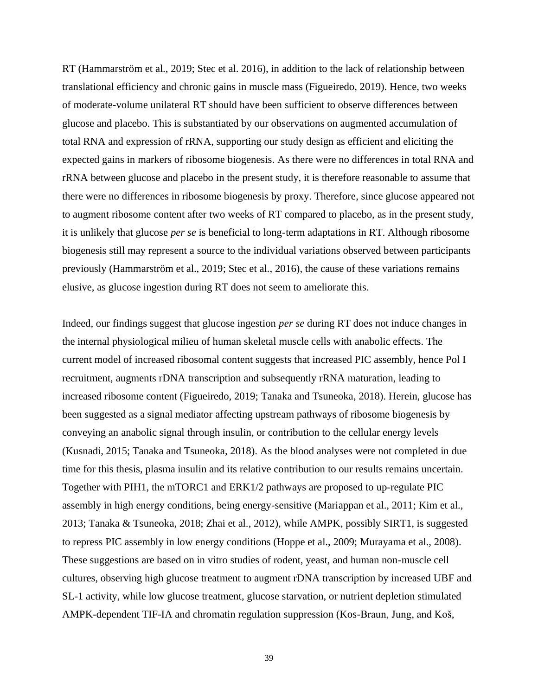RT (Hammarström et al., 2019; Stec et al. 2016), in addition to the lack of relationship between translational efficiency and chronic gains in muscle mass (Figueiredo, 2019). Hence, two weeks of moderate-volume unilateral RT should have been sufficient to observe differences between glucose and placebo. This is substantiated by our observations on augmented accumulation of total RNA and expression of rRNA, supporting our study design as efficient and eliciting the expected gains in markers of ribosome biogenesis. As there were no differences in total RNA and rRNA between glucose and placebo in the present study, it is therefore reasonable to assume that there were no differences in ribosome biogenesis by proxy. Therefore, since glucose appeared not to augment ribosome content after two weeks of RT compared to placebo, as in the present study, it is unlikely that glucose *per se* is beneficial to long-term adaptations in RT. Although ribosome biogenesis still may represent a source to the individual variations observed between participants previously (Hammarström et al., 2019; Stec et al., 2016), the cause of these variations remains elusive, as glucose ingestion during RT does not seem to ameliorate this.

Indeed, our findings suggest that glucose ingestion *per se* during RT does not induce changes in the internal physiological milieu of human skeletal muscle cells with anabolic effects. The current model of increased ribosomal content suggests that increased PIC assembly, hence Pol I recruitment, augments rDNA transcription and subsequently rRNA maturation, leading to increased ribosome content (Figueiredo, 2019; Tanaka and Tsuneoka, 2018). Herein, glucose has been suggested as a signal mediator affecting upstream pathways of ribosome biogenesis by conveying an anabolic signal through insulin, or contribution to the cellular energy levels (Kusnadi, 2015; Tanaka and Tsuneoka, 2018). As the blood analyses were not completed in due time for this thesis, plasma insulin and its relative contribution to our results remains uncertain. Together with PIH1, the mTORC1 and ERK1/2 pathways are proposed to up-regulate PIC assembly in high energy conditions, being energy-sensitive (Mariappan et al., 2011; Kim et al., 2013; Tanaka & Tsuneoka, 2018; Zhai et al., 2012), while AMPK, possibly SIRT1, is suggested to repress PIC assembly in low energy conditions (Hoppe et al., 2009; Murayama et al., 2008). These suggestions are based on in vitro studies of rodent, yeast, and human non-muscle cell cultures, observing high glucose treatment to augment rDNA transcription by increased UBF and SL-1 activity, while low glucose treatment, glucose starvation, or nutrient depletion stimulated AMPK-dependent TIF-IA and chromatin regulation suppression (Kos-Braun, Jung, and Koš,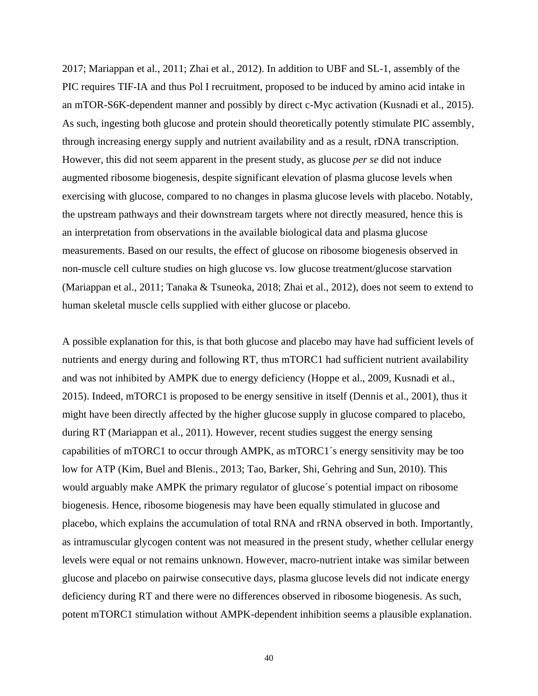2017; Mariappan et al., 2011; Zhai et al., 2012). In addition to UBF and SL-1, assembly of the PIC requires TIF-IA and thus Pol I recruitment, proposed to be induced by amino acid intake in an mTOR-S6K-dependent manner and possibly by direct c-Myc activation (Kusnadi et al., 2015). As such, ingesting both glucose and protein should theoretically potently stimulate PIC assembly, through increasing energy supply and nutrient availability and as a result, rDNA transcription. However, this did not seem apparent in the present study, as glucose *per se* did not induce augmented ribosome biogenesis, despite significant elevation of plasma glucose levels when exercising with glucose, compared to no changes in plasma glucose levels with placebo. Notably, the upstream pathways and their downstream targets where not directly measured, hence this is an interpretation from observations in the available biological data and plasma glucose measurements. Based on our results, the effect of glucose on ribosome biogenesis observed in non-muscle cell culture studies on high glucose vs. low glucose treatment/glucose starvation (Mariappan et al., 2011; Tanaka & Tsuneoka, 2018; Zhai et al., 2012), does not seem to extend to human skeletal muscle cells supplied with either glucose or placebo.

A possible explanation for this, is that both glucose and placebo may have had sufficient levels of nutrients and energy during and following RT, thus mTORC1 had sufficient nutrient availability and was not inhibited by AMPK due to energy deficiency (Hoppe et al., 2009, Kusnadi et al., 2015). Indeed, mTORC1 is proposed to be energy sensitive in itself (Dennis et al., 2001), thus it might have been directly affected by the higher glucose supply in glucose compared to placebo, during RT (Mariappan et al., 2011). However, recent studies suggest the energy sensing capabilities of mTORC1 to occur through AMPK, as mTORC1´s energy sensitivity may be too low for ATP (Kim, Buel and Blenis., 2013; Tao, Barker, Shi, Gehring and Sun, 2010). This would arguably make AMPK the primary regulator of glucose´s potential impact on ribosome biogenesis. Hence, ribosome biogenesis may have been equally stimulated in glucose and placebo, which explains the accumulation of total RNA and rRNA observed in both. Importantly, as intramuscular glycogen content was not measured in the present study, whether cellular energy levels were equal or not remains unknown. However, macro-nutrient intake was similar between glucose and placebo on pairwise consecutive days, plasma glucose levels did not indicate energy deficiency during RT and there were no differences observed in ribosome biogenesis. As such, potent mTORC1 stimulation without AMPK-dependent inhibition seems a plausible explanation.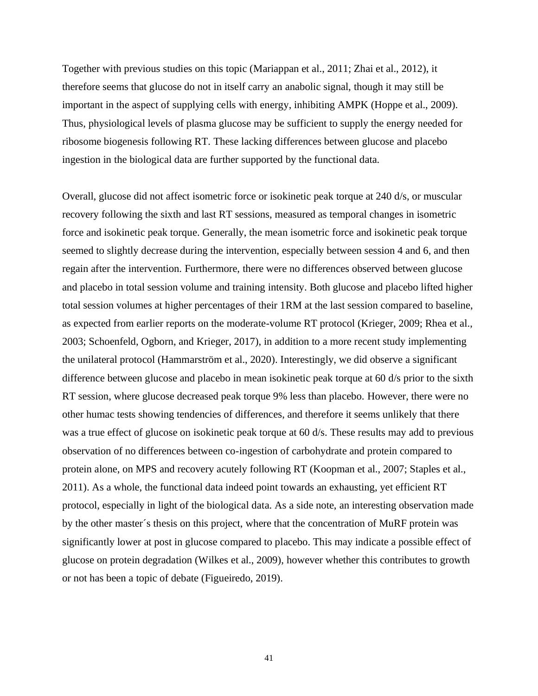Together with previous studies on this topic (Mariappan et al., 2011; Zhai et al., 2012), it therefore seems that glucose do not in itself carry an anabolic signal, though it may still be important in the aspect of supplying cells with energy, inhibiting AMPK (Hoppe et al., 2009). Thus, physiological levels of plasma glucose may be sufficient to supply the energy needed for ribosome biogenesis following RT. These lacking differences between glucose and placebo ingestion in the biological data are further supported by the functional data.

Overall, glucose did not affect isometric force or isokinetic peak torque at 240 d/s, or muscular recovery following the sixth and last RT sessions, measured as temporal changes in isometric force and isokinetic peak torque. Generally, the mean isometric force and isokinetic peak torque seemed to slightly decrease during the intervention, especially between session 4 and 6, and then regain after the intervention. Furthermore, there were no differences observed between glucose and placebo in total session volume and training intensity. Both glucose and placebo lifted higher total session volumes at higher percentages of their 1RM at the last session compared to baseline, as expected from earlier reports on the moderate-volume RT protocol (Krieger, 2009; Rhea et al., 2003; Schoenfeld, Ogborn, and Krieger, 2017), in addition to a more recent study implementing the unilateral protocol (Hammarström et al., 2020). Interestingly, we did observe a significant difference between glucose and placebo in mean isokinetic peak torque at 60 d/s prior to the sixth RT session, where glucose decreased peak torque 9% less than placebo. However, there were no other humac tests showing tendencies of differences, and therefore it seems unlikely that there was a true effect of glucose on isokinetic peak torque at 60 d/s. These results may add to previous observation of no differences between co-ingestion of carbohydrate and protein compared to protein alone, on MPS and recovery acutely following RT (Koopman et al., 2007; Staples et al., 2011). As a whole, the functional data indeed point towards an exhausting, yet efficient RT protocol, especially in light of the biological data. As a side note, an interesting observation made by the other master´s thesis on this project, where that the concentration of MuRF protein was significantly lower at post in glucose compared to placebo. This may indicate a possible effect of glucose on protein degradation (Wilkes et al., 2009), however whether this contributes to growth or not has been a topic of debate (Figueiredo, 2019).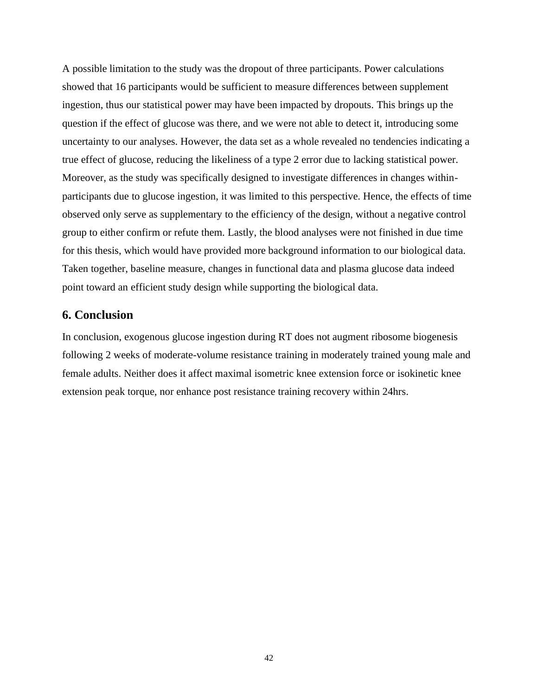A possible limitation to the study was the dropout of three participants. Power calculations showed that 16 participants would be sufficient to measure differences between supplement ingestion, thus our statistical power may have been impacted by dropouts. This brings up the question if the effect of glucose was there, and we were not able to detect it, introducing some uncertainty to our analyses. However, the data set as a whole revealed no tendencies indicating a true effect of glucose, reducing the likeliness of a type 2 error due to lacking statistical power. Moreover, as the study was specifically designed to investigate differences in changes withinparticipants due to glucose ingestion, it was limited to this perspective. Hence, the effects of time observed only serve as supplementary to the efficiency of the design, without a negative control group to either confirm or refute them. Lastly, the blood analyses were not finished in due time for this thesis, which would have provided more background information to our biological data. Taken together, baseline measure, changes in functional data and plasma glucose data indeed point toward an efficient study design while supporting the biological data.

# <span id="page-41-0"></span>**6. Conclusion**

In conclusion, exogenous glucose ingestion during RT does not augment ribosome biogenesis following 2 weeks of moderate-volume resistance training in moderately trained young male and female adults. Neither does it affect maximal isometric knee extension force or isokinetic knee extension peak torque, nor enhance post resistance training recovery within 24hrs.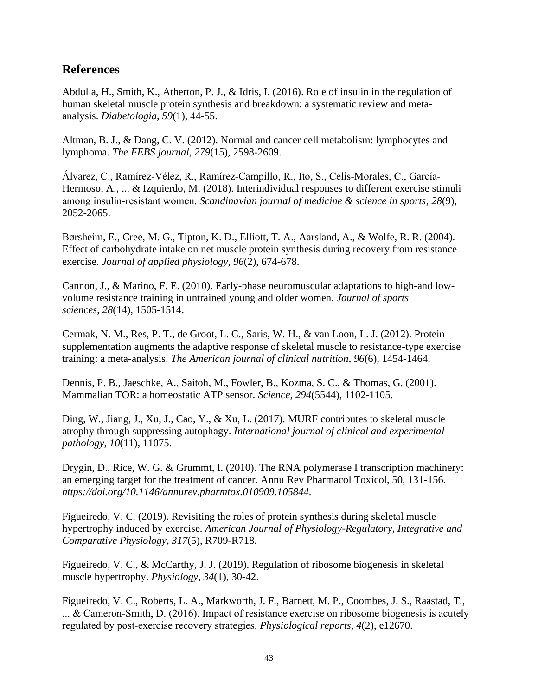# <span id="page-42-0"></span>**References**

Abdulla, H., Smith, K., Atherton, P. J., & Idris, I. (2016). Role of insulin in the regulation of human skeletal muscle protein synthesis and breakdown: a systematic review and metaanalysis. *Diabetologia*, *59*(1), 44-55.

Altman, B. J., & Dang, C. V. (2012). Normal and cancer cell metabolism: lymphocytes and lymphoma. *The FEBS journal*, *279*(15), 2598-2609.

Álvarez, C., Ramírez‐Vélez, R., Ramírez‐Campillo, R., Ito, S., Celis‐Morales, C., García‐ Hermoso, A., ... & Izquierdo, M. (2018). Interindividual responses to different exercise stimuli among insulin‐resistant women. *Scandinavian journal of medicine & science in sports*, *28*(9), 2052-2065.

Børsheim, E., Cree, M. G., Tipton, K. D., Elliott, T. A., Aarsland, A., & Wolfe, R. R. (2004). Effect of carbohydrate intake on net muscle protein synthesis during recovery from resistance exercise. *Journal of applied physiology*, *96*(2), 674-678.

Cannon, J., & Marino, F. E. (2010). Early-phase neuromuscular adaptations to high-and lowvolume resistance training in untrained young and older women. *Journal of sports sciences*, *28*(14), 1505-1514.

Cermak, N. M., Res, P. T., de Groot, L. C., Saris, W. H., & van Loon, L. J. (2012). Protein supplementation augments the adaptive response of skeletal muscle to resistance-type exercise training: a meta-analysis. *The American journal of clinical nutrition*, *96*(6), 1454-1464.

Dennis, P. B., Jaeschke, A., Saitoh, M., Fowler, B., Kozma, S. C., & Thomas, G. (2001). Mammalian TOR: a homeostatic ATP sensor. *Science*, *294*(5544), 1102-1105.

Ding, W., Jiang, J., Xu, J., Cao, Y., & Xu, L. (2017). MURF contributes to skeletal muscle atrophy through suppressing autophagy. *International journal of clinical and experimental pathology*, *10*(11), 11075.

Drygin, D., Rice, W. G. & Grummt, I. (2010). The RNA polymerase I transcription machinery: an emerging target for the treatment of cancer. Annu Rev Pharmacol Toxicol, 50, 131-156. *https://doi.org/10.1146/annurev.pharmtox.010909.105844.*

Figueiredo, V. C. (2019). Revisiting the roles of protein synthesis during skeletal muscle hypertrophy induced by exercise. *American Journal of Physiology-Regulatory, Integrative and Comparative Physiology*, *317*(5), R709-R718.

Figueiredo, V. C., & McCarthy, J. J. (2019). Regulation of ribosome biogenesis in skeletal muscle hypertrophy. *Physiology*, *34*(1), 30-42.

Figueiredo, V. C., Roberts, L. A., Markworth, J. F., Barnett, M. P., Coombes, J. S., Raastad, T., ... & Cameron‐Smith, D. (2016). Impact of resistance exercise on ribosome biogenesis is acutely regulated by post‐exercise recovery strategies. *Physiological reports*, *4*(2), e12670.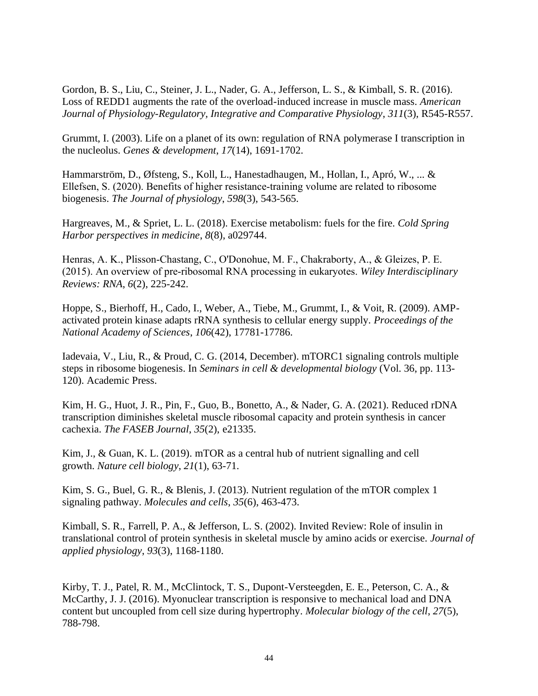Gordon, B. S., Liu, C., Steiner, J. L., Nader, G. A., Jefferson, L. S., & Kimball, S. R. (2016). Loss of REDD1 augments the rate of the overload-induced increase in muscle mass. *American Journal of Physiology-Regulatory, Integrative and Comparative Physiology*, *311*(3), R545-R557.

Grummt, I. (2003). Life on a planet of its own: regulation of RNA polymerase I transcription in the nucleolus. *Genes & development*, *17*(14), 1691-1702.

Hammarström, D., Øfsteng, S., Koll, L., Hanestadhaugen, M., Hollan, I., Apró, W., ... & Ellefsen, S. (2020). Benefits of higher resistance‐training volume are related to ribosome biogenesis. *The Journal of physiology*, *598*(3), 543-565.

Hargreaves, M., & Spriet, L. L. (2018). Exercise metabolism: fuels for the fire. *Cold Spring Harbor perspectives in medicine*, *8*(8), a029744.

Henras, A. K., Plisson‐Chastang, C., O'Donohue, M. F., Chakraborty, A., & Gleizes, P. E. (2015). An overview of pre‐ribosomal RNA processing in eukaryotes. *Wiley Interdisciplinary Reviews: RNA*, *6*(2), 225-242.

Hoppe, S., Bierhoff, H., Cado, I., Weber, A., Tiebe, M., Grummt, I., & Voit, R. (2009). AMPactivated protein kinase adapts rRNA synthesis to cellular energy supply. *Proceedings of the National Academy of Sciences*, *106*(42), 17781-17786.

Iadevaia, V., Liu, R., & Proud, C. G. (2014, December). mTORC1 signaling controls multiple steps in ribosome biogenesis. In *Seminars in cell & developmental biology* (Vol. 36, pp. 113- 120). Academic Press.

Kim, H. G., Huot, J. R., Pin, F., Guo, B., Bonetto, A., & Nader, G. A. (2021). Reduced rDNA transcription diminishes skeletal muscle ribosomal capacity and protein synthesis in cancer cachexia. *The FASEB Journal*, *35*(2), e21335.

Kim, J., & Guan, K. L. (2019). mTOR as a central hub of nutrient signalling and cell growth. *Nature cell biology*, *21*(1), 63-71.

Kim, S. G., Buel, G. R., & Blenis, J. (2013). Nutrient regulation of the mTOR complex 1 signaling pathway. *Molecules and cells*, *35*(6), 463-473.

Kimball, S. R., Farrell, P. A., & Jefferson, L. S. (2002). Invited Review: Role of insulin in translational control of protein synthesis in skeletal muscle by amino acids or exercise. *Journal of applied physiology*, *93*(3), 1168-1180.

Kirby, T. J., Patel, R. M., McClintock, T. S., Dupont-Versteegden, E. E., Peterson, C. A., & McCarthy, J. J. (2016). Myonuclear transcription is responsive to mechanical load and DNA content but uncoupled from cell size during hypertrophy. *Molecular biology of the cell*, *27*(5), 788-798.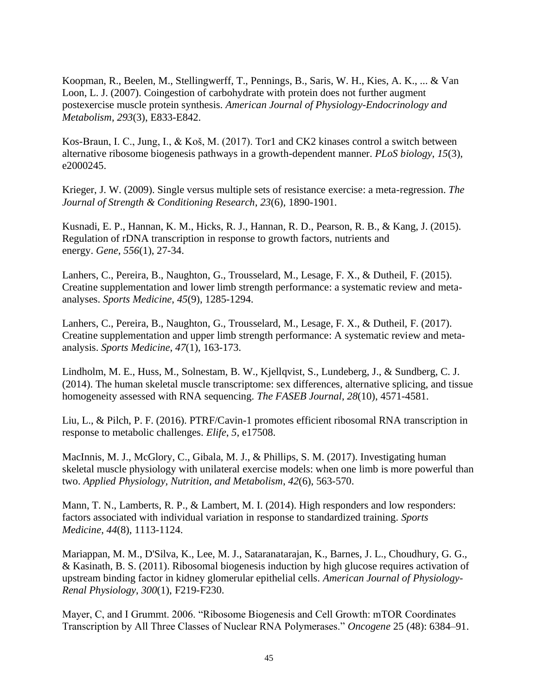Koopman, R., Beelen, M., Stellingwerff, T., Pennings, B., Saris, W. H., Kies, A. K., ... & Van Loon, L. J. (2007). Coingestion of carbohydrate with protein does not further augment postexercise muscle protein synthesis. *American Journal of Physiology-Endocrinology and Metabolism*, *293*(3), E833-E842.

Kos-Braun, I. C., Jung, I., & Koš, M. (2017). Tor1 and CK2 kinases control a switch between alternative ribosome biogenesis pathways in a growth-dependent manner. *PLoS biology*, *15*(3), e2000245.

Krieger, J. W. (2009). Single versus multiple sets of resistance exercise: a meta-regression. *The Journal of Strength & Conditioning Research*, *23*(6), 1890-1901.

Kusnadi, E. P., Hannan, K. M., Hicks, R. J., Hannan, R. D., Pearson, R. B., & Kang, J. (2015). Regulation of rDNA transcription in response to growth factors, nutrients and energy. *Gene*, *556*(1), 27-34.

Lanhers, C., Pereira, B., Naughton, G., Trousselard, M., Lesage, F. X., & Dutheil, F. (2015). Creatine supplementation and lower limb strength performance: a systematic review and metaanalyses. *Sports Medicine*, *45*(9), 1285-1294.

Lanhers, C., Pereira, B., Naughton, G., Trousselard, M., Lesage, F. X., & Dutheil, F. (2017). Creatine supplementation and upper limb strength performance: A systematic review and metaanalysis. *Sports Medicine*, *47*(1), 163-173.

Lindholm, M. E., Huss, M., Solnestam, B. W., Kjellqvist, S., Lundeberg, J., & Sundberg, C. J. (2014). The human skeletal muscle transcriptome: sex differences, alternative splicing, and tissue homogeneity assessed with RNA sequencing. *The FASEB Journal*, *28*(10), 4571-4581.

Liu, L., & Pilch, P. F. (2016). PTRF/Cavin-1 promotes efficient ribosomal RNA transcription in response to metabolic challenges. *Elife*, *5*, e17508.

MacInnis, M. J., McGlory, C., Gibala, M. J., & Phillips, S. M. (2017). Investigating human skeletal muscle physiology with unilateral exercise models: when one limb is more powerful than two. *Applied Physiology, Nutrition, and Metabolism*, *42*(6), 563-570.

Mann, T. N., Lamberts, R. P., & Lambert, M. I. (2014). High responders and low responders: factors associated with individual variation in response to standardized training. *Sports Medicine*, *44*(8), 1113-1124.

Mariappan, M. M., D'Silva, K., Lee, M. J., Sataranatarajan, K., Barnes, J. L., Choudhury, G. G., & Kasinath, B. S. (2011). Ribosomal biogenesis induction by high glucose requires activation of upstream binding factor in kidney glomerular epithelial cells. *American Journal of Physiology-Renal Physiology*, *300*(1), F219-F230.

Mayer, C, and I Grummt. 2006. "Ribosome Biogenesis and Cell Growth: mTOR Coordinates Transcription by All Three Classes of Nuclear RNA Polymerases." *Oncogene* 25 (48): 6384–91.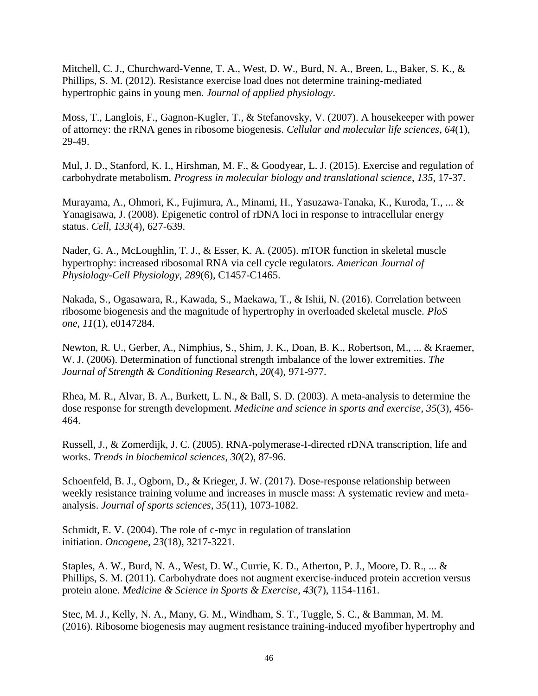Mitchell, C. J., Churchward-Venne, T. A., West, D. W., Burd, N. A., Breen, L., Baker, S. K., & Phillips, S. M. (2012). Resistance exercise load does not determine training-mediated hypertrophic gains in young men. *Journal of applied physiology*.

Moss, T., Langlois, F., Gagnon-Kugler, T., & Stefanovsky, V. (2007). A housekeeper with power of attorney: the rRNA genes in ribosome biogenesis. *Cellular and molecular life sciences*, *64*(1), 29-49.

Mul, J. D., Stanford, K. I., Hirshman, M. F., & Goodyear, L. J. (2015). Exercise and regulation of carbohydrate metabolism. *Progress in molecular biology and translational science*, *135*, 17-37.

Murayama, A., Ohmori, K., Fujimura, A., Minami, H., Yasuzawa-Tanaka, K., Kuroda, T., ... & Yanagisawa, J. (2008). Epigenetic control of rDNA loci in response to intracellular energy status. *Cell*, *133*(4), 627-639.

Nader, G. A., McLoughlin, T. J., & Esser, K. A. (2005). mTOR function in skeletal muscle hypertrophy: increased ribosomal RNA via cell cycle regulators. *American Journal of Physiology-Cell Physiology*, *289*(6), C1457-C1465.

Nakada, S., Ogasawara, R., Kawada, S., Maekawa, T., & Ishii, N. (2016). Correlation between ribosome biogenesis and the magnitude of hypertrophy in overloaded skeletal muscle. *PloS one*, *11*(1), e0147284.

Newton, R. U., Gerber, A., Nimphius, S., Shim, J. K., Doan, B. K., Robertson, M., ... & Kraemer, W. J. (2006). Determination of functional strength imbalance of the lower extremities. *The Journal of Strength & Conditioning Research*, *20*(4), 971-977.

Rhea, M. R., Alvar, B. A., Burkett, L. N., & Ball, S. D. (2003). A meta-analysis to determine the dose response for strength development. *Medicine and science in sports and exercise*, *35*(3), 456- 464.

Russell, J., & Zomerdijk, J. C. (2005). RNA-polymerase-I-directed rDNA transcription, life and works. *Trends in biochemical sciences*, *30*(2), 87-96.

Schoenfeld, B. J., Ogborn, D., & Krieger, J. W. (2017). Dose-response relationship between weekly resistance training volume and increases in muscle mass: A systematic review and metaanalysis. *Journal of sports sciences*, *35*(11), 1073-1082.

Schmidt, E. V. (2004). The role of c-myc in regulation of translation initiation. *Oncogene*, *23*(18), 3217-3221.

Staples, A. W., Burd, N. A., West, D. W., Currie, K. D., Atherton, P. J., Moore, D. R., ... & Phillips, S. M. (2011). Carbohydrate does not augment exercise-induced protein accretion versus protein alone. *Medicine & Science in Sports & Exercise*, *43*(7), 1154-1161.

Stec, M. J., Kelly, N. A., Many, G. M., Windham, S. T., Tuggle, S. C., & Bamman, M. M. (2016). Ribosome biogenesis may augment resistance training-induced myofiber hypertrophy and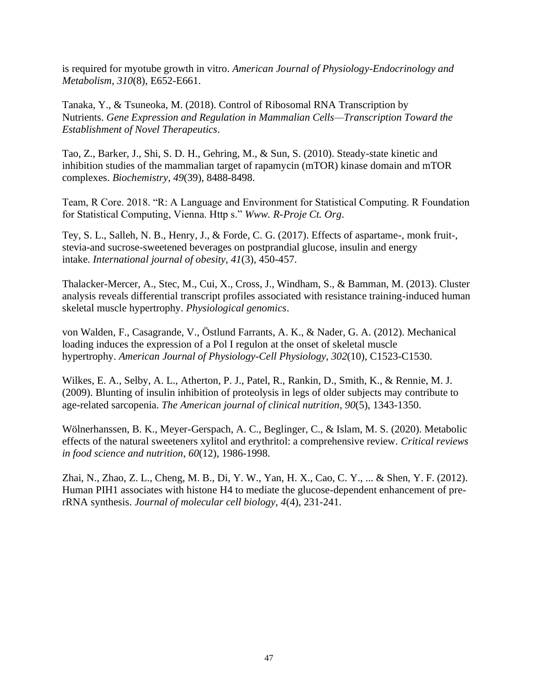is required for myotube growth in vitro. *American Journal of Physiology-Endocrinology and Metabolism*, *310*(8), E652-E661.

Tanaka, Y., & Tsuneoka, M. (2018). Control of Ribosomal RNA Transcription by Nutrients. *Gene Expression and Regulation in Mammalian Cells—Transcription Toward the Establishment of Novel Therapeutics*.

Tao, Z., Barker, J., Shi, S. D. H., Gehring, M., & Sun, S. (2010). Steady-state kinetic and inhibition studies of the mammalian target of rapamycin (mTOR) kinase domain and mTOR complexes. *Biochemistry*, *49*(39), 8488-8498.

Team, R Core. 2018. "R: A Language and Environment for Statistical Computing. R Foundation for Statistical Computing, Vienna. Http s." *Www. R-Proje Ct. Org*.

Tey, S. L., Salleh, N. B., Henry, J., & Forde, C. G. (2017). Effects of aspartame-, monk fruit-, stevia-and sucrose-sweetened beverages on postprandial glucose, insulin and energy intake. *International journal of obesity*, *41*(3), 450-457.

Thalacker-Mercer, A., Stec, M., Cui, X., Cross, J., Windham, S., & Bamman, M. (2013). Cluster analysis reveals differential transcript profiles associated with resistance training-induced human skeletal muscle hypertrophy. *Physiological genomics*.

von Walden, F., Casagrande, V., Östlund Farrants, A. K., & Nader, G. A. (2012). Mechanical loading induces the expression of a Pol I regulon at the onset of skeletal muscle hypertrophy. *American Journal of Physiology-Cell Physiology*, *302*(10), C1523-C1530.

Wilkes, E. A., Selby, A. L., Atherton, P. J., Patel, R., Rankin, D., Smith, K., & Rennie, M. J. (2009). Blunting of insulin inhibition of proteolysis in legs of older subjects may contribute to age-related sarcopenia. *The American journal of clinical nutrition*, *90*(5), 1343-1350.

Wölnerhanssen, B. K., Meyer-Gerspach, A. C., Beglinger, C., & Islam, M. S. (2020). Metabolic effects of the natural sweeteners xylitol and erythritol: a comprehensive review. *Critical reviews in food science and nutrition*, *60*(12), 1986-1998.

Zhai, N., Zhao, Z. L., Cheng, M. B., Di, Y. W., Yan, H. X., Cao, C. Y., ... & Shen, Y. F. (2012). Human PIH1 associates with histone H4 to mediate the glucose-dependent enhancement of prerRNA synthesis. *Journal of molecular cell biology*, *4*(4), 231-241.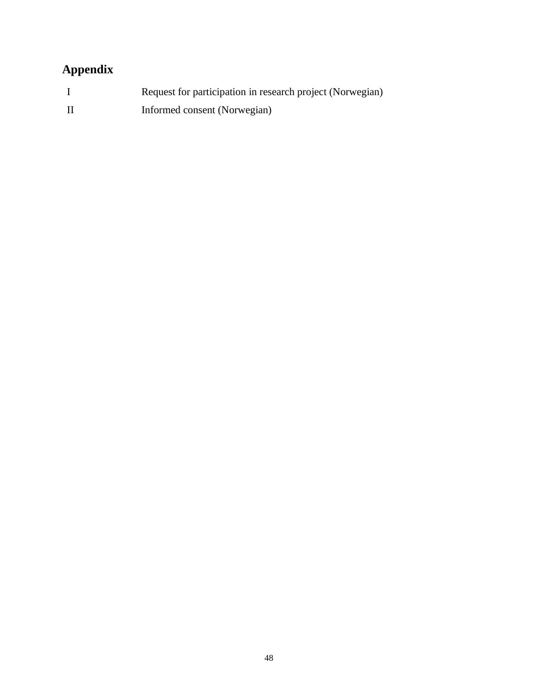# <span id="page-47-0"></span>**Appendix**

| Request for participation in research project (Norwegian) |
|-----------------------------------------------------------|
| Informed consent (Norwegian)                              |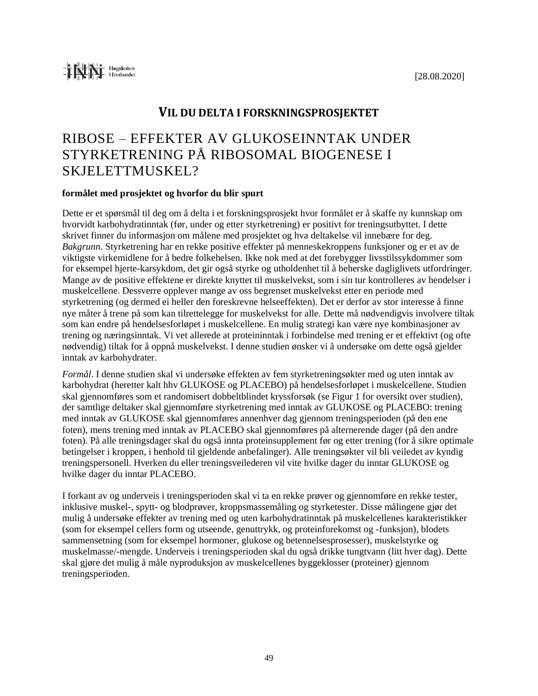# **VIL DU DELTA I FORSKNINGSPROSJEKTET**

# RIBOSE – EFFEKTER AV GLUKOSEINNTAK UNDER STYRKETRENING PÅ RIBOSOMAL BIOGENESE I SKJELETTMUSKEL?

## **formålet med prosjektet og hvorfor du blir spurt**

Dette er et spørsmål til deg om å delta i et forskningsprosjekt hvor formålet er å skaffe ny kunnskap om hvorvidt karbohydratinntak (før, under og etter styrketrening) er positivt for treningsutbyttet. I dette skrivet finner du informasjon om målene med prosjektet og hva deltakelse vil innebære for deg. *Bakgrunn*. Styrketrening har en rekke positive effekter på menneskekroppens funksjoner og er et av de viktigste virkemidlene for å bedre folkehelsen. Ikke nok med at det forebygger livsstilssykdommer som for eksempel hjerte-karsykdom, det gir også styrke og utholdenhet til å beherske dagliglivets utfordringer. Mange av de positive effektene er direkte knyttet til muskelvekst, som i sin tur kontrolleres av hendelser i muskelcellene. Dessverre opplever mange av oss begrenset muskelvekst etter en periode med styrketrening (og dermed ei heller den foreskrevne helseeffekten). Det er derfor av stor interesse å finne nye måter å trene på som kan tilrettelegge for muskelvekst for alle. Dette må nødvendigvis involvere tiltak som kan endre på hendelsesforløpet i muskelcellene. En mulig strategi kan være nye kombinasjoner av trening og næringsinntak. Vi vet allerede at proteininntak i forbindelse med trening er et effektivt (og ofte nødvendig) tiltak for å oppnå muskelvekst. I denne studien ønsker vi å undersøke om dette også gjelder inntak av karbohydrater.

*Formål*. I denne studien skal vi undersøke effekten av fem styrketreningsøkter med og uten inntak av karbohydrat (heretter kalt hhv GLUKOSE og PLACEBO) på hendelsesforløpet i muskelcellene. Studien skal gjennomføres som et randomisert dobbeltblindet kryssforsøk (se Figur 1 for oversikt over studien), der samtlige deltaker skal gjennomføre styrketrening med inntak av GLUKOSE og PLACEBO: trening med inntak av GLUKOSE skal gjennomføres annenhver dag gjennom treningsperioden (på den ene foten), mens trening med inntak av PLACEBO skal gjennomføres på alternerende dager (på den andre foten). På alle treningsdager skal du også innta proteinsupplement før og etter trening (for å sikre optimale betingelser i kroppen, i henhold til gjeldende anbefalinger). Alle treningsøkter vil bli veiledet av kyndig treningspersonell. Hverken du eller treningsveilederen vil vite hvilke dager du inntar GLUKOSE og hvilke dager du inntar PLACEBO.

I forkant av og underveis i treningsperioden skal vi ta en rekke prøver og gjennomføre en rekke tester, inklusive muskel-, spytt- og blodprøver, kroppsmassemåling og styrketester. Disse målingene gjør det mulig å undersøke effekter av trening med og uten karbohydratinntak på muskelcellenes karakteristikker (som for eksempel cellers form og utseende, genuttrykk, og proteinforekomst og -funksjon), blodets sammensetning (som for eksempel hormoner, glukose og betennelsesprosesser), muskelstyrke og muskelmasse/-mengde. Underveis i treningsperioden skal du også drikke tungtvann (litt hver dag). Dette skal gjøre det mulig å måle nyproduksjon av muskelcellenes byggeklosser (proteiner) gjennom treningsperioden.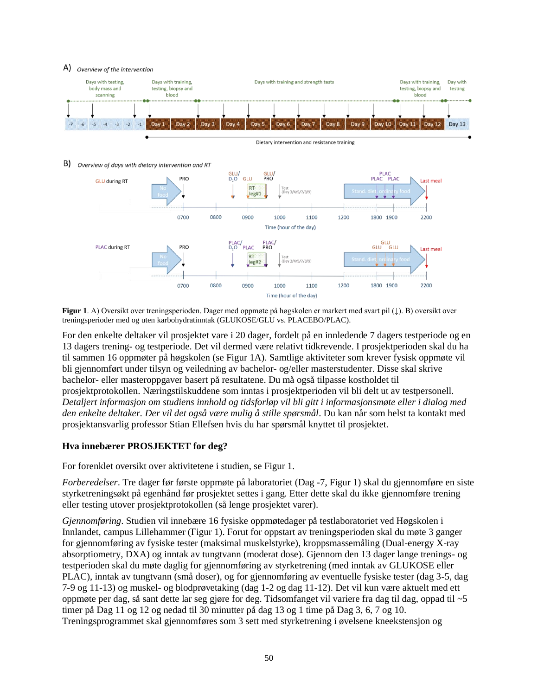#### A) Overview of the intervention



**Figur 1**. A) Oversikt over treningsperioden. Dager med oppmøte på høgskolen er markert med svart pil (↓). B) oversikt over treningsperioder med og uten karbohydratinntak (GLUKOSE/GLU vs. PLACEBO/PLAC).

For den enkelte deltaker vil prosjektet vare i 20 dager, fordelt på en innledende 7 dagers testperiode og en 13 dagers trening- og testperiode. Det vil dermed være relativt tidkrevende. I prosjektperioden skal du ha til sammen 16 oppmøter på høgskolen (se Figur 1A). Samtlige aktiviteter som krever fysisk oppmøte vil bli gjennomført under tilsyn og veiledning av bachelor- og/eller masterstudenter. Disse skal skrive bachelor- eller masteroppgaver basert på resultatene. Du må også tilpasse kostholdet til prosjektprotokollen. Næringstilskuddene som inntas i prosjektperioden vil bli delt ut av testpersonell. *Detaljert informasjon om studiens innhold og tidsforløp vil bli gitt i informasjonsmøte eller i dialog med den enkelte deltaker. Der vil det også være mulig å stille spørsmål*. Du kan når som helst ta kontakt med prosjektansvarlig professor Stian Ellefsen hvis du har spørsmål knyttet til prosjektet.

#### **Hva innebærer PROSJEKTET for deg?**

For forenklet oversikt over aktivitetene i studien, se Figur 1.

*Forberedelser*. Tre dager før første oppmøte på laboratoriet (Dag -7, Figur 1) skal du gjennomføre en siste styrketreningsøkt på egenhånd før prosjektet settes i gang. Etter dette skal du ikke gjennomføre trening eller testing utover prosjektprotokollen (så lenge prosjektet varer).

*Gjennomføring*. Studien vil innebære 16 fysiske oppmøtedager på testlaboratoriet ved Høgskolen i Innlandet, campus Lillehammer (Figur 1). Forut for oppstart av treningsperioden skal du møte 3 ganger for gjennomføring av fysiske tester (maksimal muskelstyrke), kroppsmassemåling (Dual-energy X-ray absorptiometry, DXA) og inntak av tungtvann (moderat dose). Gjennom den 13 dager lange trenings- og testperioden skal du møte daglig for gjennomføring av styrketrening (med inntak av GLUKOSE eller PLAC), inntak av tungtvann (små doser), og for gjennomføring av eventuelle fysiske tester (dag 3-5, dag 7-9 og 11-13) og muskel- og blodprøvetaking (dag 1-2 og dag 11-12). Det vil kun være aktuelt med ett oppmøte per dag, så sant dette lar seg gjøre for deg. Tidsomfanget vil variere fra dag til dag, oppad til ~5 timer på Dag 11 og 12 og nedad til 30 minutter på dag 13 og 1 time på Dag 3, 6, 7 og 10. Treningsprogrammet skal gjennomføres som 3 sett med styrketrening i øvelsene kneekstensjon og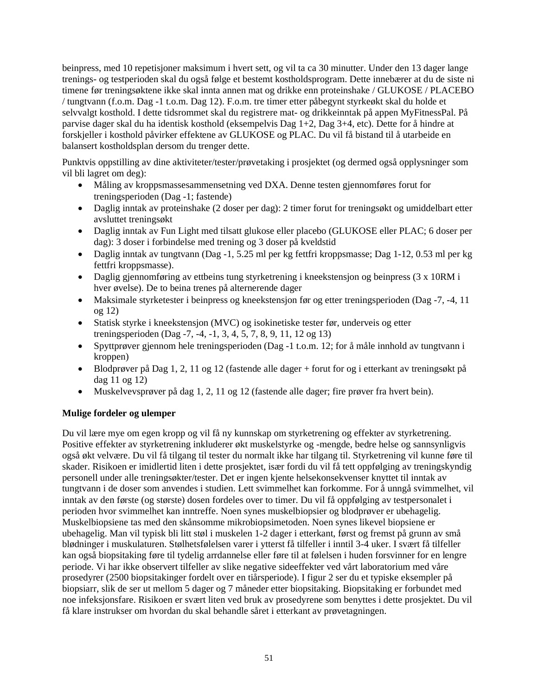beinpress, med 10 repetisjoner maksimum i hvert sett, og vil ta ca 30 minutter. Under den 13 dager lange trenings- og testperioden skal du også følge et bestemt kostholdsprogram. Dette innebærer at du de siste ni timene før treningsøktene ikke skal innta annen mat og drikke enn proteinshake / GLUKOSE / PLACEBO / tungtvann (f.o.m. Dag -1 t.o.m. Dag 12). F.o.m. tre timer etter påbegynt styrkeøkt skal du holde et selvvalgt kosthold. I dette tidsrommet skal du registrere mat- og drikkeinntak på appen MyFitnessPal. På parvise dager skal du ha identisk kosthold (eksempelvis Dag 1+2, Dag 3+4, etc). Dette for å hindre at forskjeller i kosthold påvirker effektene av GLUKOSE og PLAC. Du vil få bistand til å utarbeide en balansert kostholdsplan dersom du trenger dette.

Punktvis oppstilling av dine aktiviteter/tester/prøvetaking i prosjektet (og dermed også opplysninger som vil bli lagret om deg):

- Måling av kroppsmassesammensetning ved DXA. Denne testen gjennomføres forut for treningsperioden (Dag -1; fastende)
- Daglig inntak av proteinshake (2 doser per dag): 2 timer forut for treningsøkt og umiddelbart etter avsluttet treningsøkt
- Daglig inntak av Fun Light med tilsatt glukose eller placebo (GLUKOSE eller PLAC; 6 doser per dag): 3 doser i forbindelse med trening og 3 doser på kveldstid
- Daglig inntak av tungtvann (Dag -1, 5.25 ml per kg fettfri kroppsmasse; Dag 1-12, 0.53 ml per kg fettfri kroppsmasse).
- Daglig gjennomføring av ettbeins tung styrketrening i kneekstensjon og beinpress (3 x 10RM i hver øvelse). De to beina trenes på alternerende dager
- Maksimale styrketester i beinpress og kneekstensjon før og etter treningsperioden (Dag -7, -4, 11 og 12)
- Statisk styrke i kneekstensjon (MVC) og isokinetiske tester før, underveis og etter treningsperioden (Dag -7, -4, -1, 3, 4, 5, 7, 8, 9, 11, 12 og 13)
- Spyttprøver gjennom hele treningsperioden (Dag -1 t.o.m. 12; for å måle innhold av tungtvann i kroppen)
- Blodprøver på Dag 1, 2, 11 og 12 (fastende alle dager + forut for og i etterkant av treningsøkt på dag 11 og 12)
- Muskelvevsprøver på dag 1, 2, 11 og 12 (fastende alle dager; fire prøver fra hvert bein).

# **Mulige fordeler og ulemper**

Du vil lære mye om egen kropp og vil få ny kunnskap om styrketrening og effekter av styrketrening. Positive effekter av styrketrening inkluderer økt muskelstyrke og -mengde, bedre helse og sannsynligvis også økt velvære. Du vil få tilgang til tester du normalt ikke har tilgang til. Styrketrening vil kunne føre til skader. Risikoen er imidlertid liten i dette prosjektet, især fordi du vil få tett oppfølging av treningskyndig personell under alle treningsøkter/tester. Det er ingen kjente helsekonsekvenser knyttet til inntak av tungtvann i de doser som anvendes i studien. Lett svimmelhet kan forkomme. For å unngå svimmelhet, vil inntak av den første (og største) dosen fordeles over to timer. Du vil få oppfølging av testpersonalet i perioden hvor svimmelhet kan inntreffe. Noen synes muskelbiopsier og blodprøver er ubehagelig. Muskelbiopsiene tas med den skånsomme mikrobiopsimetoden. Noen synes likevel biopsiene er ubehagelig. Man vil typisk bli litt støl i muskelen 1-2 dager i etterkant, først og fremst på grunn av små blødninger i muskulaturen. Stølhetsfølelsen varer i ytterst få tilfeller i inntil 3-4 uker. I svært få tilfeller kan også biopsitaking føre til tydelig arrdannelse eller føre til at følelsen i huden forsvinner for en lengre periode. Vi har ikke observert tilfeller av slike negative sideeffekter ved vårt laboratorium med våre prosedyrer (2500 biopsitakinger fordelt over en tiårsperiode). I figur 2 ser du et typiske eksempler på biopsiarr, slik de ser ut mellom 5 dager og 7 måneder etter biopsitaking. Biopsitaking er forbundet med noe infeksjonsfare. Risikoen er svært liten ved bruk av prosedyrene som benyttes i dette prosjektet. Du vil få klare instrukser om hvordan du skal behandle såret i etterkant av prøvetagningen.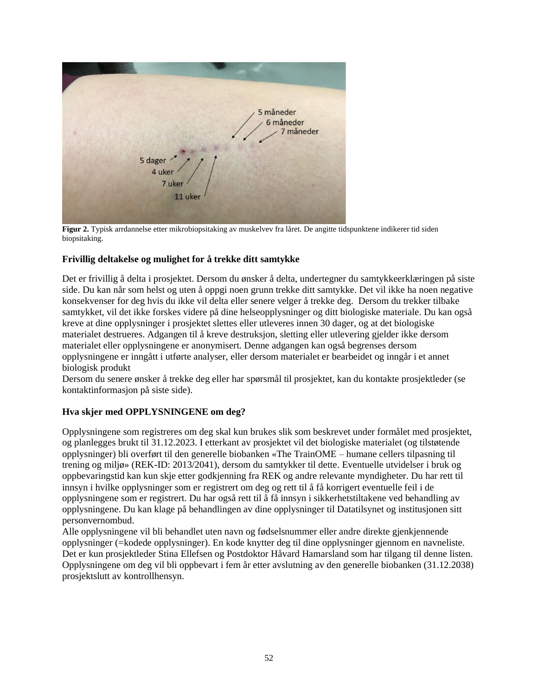

**Figur 2.** Typisk arrdannelse etter mikrobiopsitaking av muskelvev fra låret. De angitte tidspunktene indikerer tid siden biopsitaking.

## **Frivillig deltakelse og mulighet for å trekke ditt samtykke**

Det er frivillig å delta i prosjektet. Dersom du ønsker å delta, undertegner du samtykkeerklæringen på siste side. Du kan når som helst og uten å oppgi noen grunn trekke ditt samtykke. Det vil ikke ha noen negative konsekvenser for deg hvis du ikke vil delta eller senere velger å trekke deg. Dersom du trekker tilbake samtykket, vil det ikke forskes videre på dine helseopplysninger og ditt biologiske materiale. Du kan også kreve at dine opplysninger i prosjektet slettes eller utleveres innen 30 dager, og at det biologiske materialet destrueres. Adgangen til å kreve destruksjon, sletting eller utlevering gjelder ikke dersom materialet eller opplysningene er anonymisert. Denne adgangen kan også begrenses dersom opplysningene er inngått i utførte analyser, eller dersom materialet er bearbeidet og inngår i et annet biologisk produkt

Dersom du senere ønsker å trekke deg eller har spørsmål til prosjektet, kan du kontakte prosjektleder (se kontaktinformasjon på siste side).

#### **Hva skjer med OPPLYSNINGENE om deg?**

Opplysningene som registreres om deg skal kun brukes slik som beskrevet under formålet med prosjektet, og planlegges brukt til 31.12.2023. I etterkant av prosjektet vil det biologiske materialet (og tilstøtende opplysninger) bli overført til den generelle biobanken «The TrainOME – humane cellers tilpasning til trening og miljø» (REK-ID: 2013/2041), dersom du samtykker til dette. Eventuelle utvidelser i bruk og oppbevaringstid kan kun skje etter godkjenning fra REK og andre relevante myndigheter. Du har rett til innsyn i hvilke opplysninger som er registrert om deg og rett til å få korrigert eventuelle feil i de opplysningene som er registrert. Du har også rett til å få innsyn i sikkerhetstiltakene ved behandling av opplysningene. Du kan klage på behandlingen av dine opplysninger til Datatilsynet og institusjonen sitt personvernombud.

Alle opplysningene vil bli behandlet uten navn og fødselsnummer eller andre direkte gjenkjennende opplysninger (=kodede opplysninger). En kode knytter deg til dine opplysninger gjennom en navneliste. Det er kun prosjektleder Stina Ellefsen og Postdoktor Håvard Hamarsland som har tilgang til denne listen. Opplysningene om deg vil bli oppbevart i fem år etter avslutning av den generelle biobanken (31.12.2038) prosjektslutt av kontrollhensyn.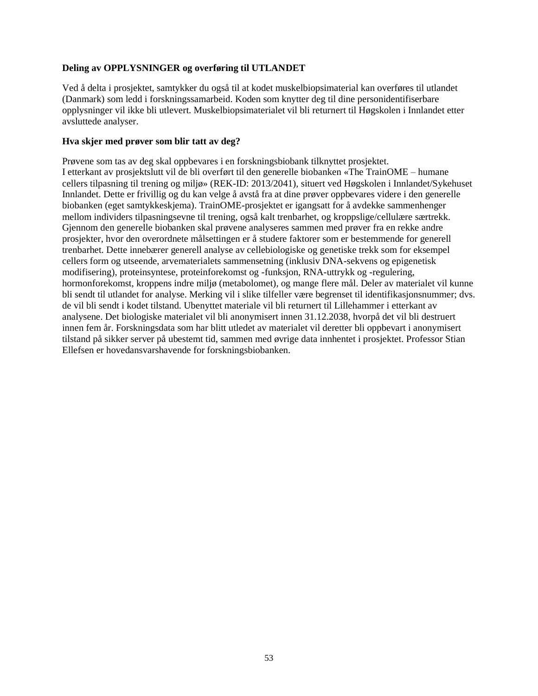## **Deling av OPPLYSNINGER og overføring til UTLANDET**

Ved å delta i prosjektet, samtykker du også til at kodet muskelbiopsimaterial kan overføres til utlandet (Danmark) som ledd i forskningssamarbeid. Koden som knytter deg til dine personidentifiserbare opplysninger vil ikke bli utlevert. Muskelbiopsimaterialet vil bli returnert til Høgskolen i Innlandet etter avsluttede analyser.

#### **Hva skjer med prøver som blir tatt av deg?**

Prøvene som tas av deg skal oppbevares i en forskningsbiobank tilknyttet prosjektet. I etterkant av prosjektslutt vil de bli overført til den generelle biobanken «The TrainOME – humane cellers tilpasning til trening og miljø» (REK-ID: 2013/2041), situert ved Høgskolen i Innlandet/Sykehuset Innlandet. Dette er frivillig og du kan velge å avstå fra at dine prøver oppbevares videre i den generelle biobanken (eget samtykkeskjema). TrainOME-prosjektet er igangsatt for å avdekke sammenhenger mellom individers tilpasningsevne til trening, også kalt trenbarhet, og kroppslige/cellulære særtrekk. Gjennom den generelle biobanken skal prøvene analyseres sammen med prøver fra en rekke andre prosjekter, hvor den overordnete målsettingen er å studere faktorer som er bestemmende for generell trenbarhet. Dette innebærer generell analyse av cellebiologiske og genetiske trekk som for eksempel cellers form og utseende, arvematerialets sammensetning (inklusiv DNA-sekvens og epigenetisk modifisering), proteinsyntese, proteinforekomst og -funksjon, RNA-uttrykk og -regulering, hormonforekomst, kroppens indre miljø (metabolomet), og mange flere mål. Deler av materialet vil kunne bli sendt til utlandet for analyse. Merking vil i slike tilfeller være begrenset til identifikasjonsnummer; dvs. de vil bli sendt i kodet tilstand. Ubenyttet materiale vil bli returnert til Lillehammer i etterkant av analysene. Det biologiske materialet vil bli anonymisert innen 31.12.2038, hvorpå det vil bli destruert innen fem år. Forskningsdata som har blitt utledet av materialet vil deretter bli oppbevart i anonymisert tilstand på sikker server på ubestemt tid, sammen med øvrige data innhentet i prosjektet. Professor Stian Ellefsen er hovedansvarshavende for forskningsbiobanken.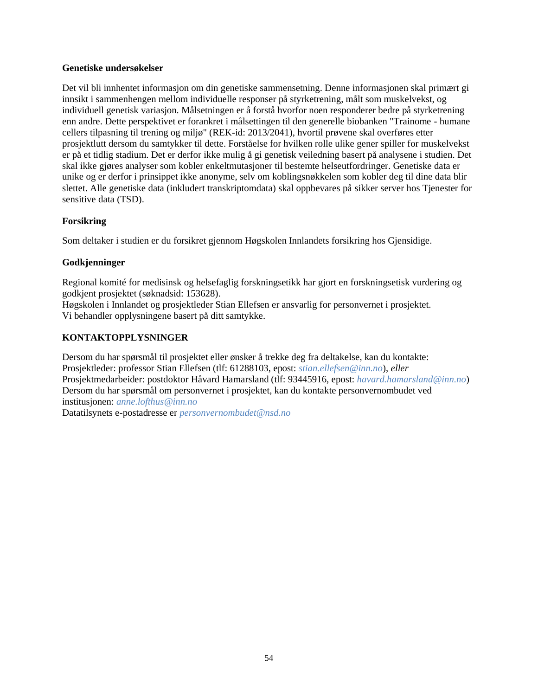#### **Genetiske undersøkelser**

Det vil bli innhentet informasjon om din genetiske sammensetning. Denne informasjonen skal primært gi innsikt i sammenhengen mellom individuelle responser på styrketrening, målt som muskelvekst, og individuell genetisk variasjon. Målsetningen er å forstå hvorfor noen responderer bedre på styrketrening enn andre. Dette perspektivet er forankret i målsettingen til den generelle biobanken "Trainome - humane cellers tilpasning til trening og miljø" (REK-id: 2013/2041), hvortil prøvene skal overføres etter prosjektlutt dersom du samtykker til dette. Forståelse for hvilken rolle ulike gener spiller for muskelvekst er på et tidlig stadium. Det er derfor ikke mulig å gi genetisk veiledning basert på analysene i studien. Det skal ikke gjøres analyser som kobler enkeltmutasjoner til bestemte helseutfordringer. Genetiske data er unike og er derfor i prinsippet ikke anonyme, selv om koblingsnøkkelen som kobler deg til dine data blir slettet. Alle genetiske data (inkludert transkriptomdata) skal oppbevares på sikker server hos Tjenester for sensitive data (TSD).

#### **Forsikring**

Som deltaker i studien er du forsikret gjennom Høgskolen Innlandets forsikring hos Gjensidige.

#### **Godkjenninger**

Regional komité for medisinsk og helsefaglig forskningsetikk har gjort en forskningsetisk vurdering og godkjent prosjektet (søknadsid: 153628).

Høgskolen i Innlandet og prosjektleder Stian Ellefsen er ansvarlig for personvernet i prosjektet. Vi behandler opplysningene basert på ditt samtykke.

# **KONTAKTOPPLYSNINGER**

Dersom du har spørsmål til prosjektet eller ønsker å trekke deg fra deltakelse, kan du kontakte: Prosjektleder: professor Stian Ellefsen (tlf: 61288103, epost: *[stian.ellefsen@inn.no](mailto:stian.ellefsen@inn.no)*), *eller* Prosjektmedarbeider: postdoktor Håvard Hamarsland (tlf: 93445916, epost: *[havard.hamarsland@inn.no](mailto:havard.hamarsland@inn.no)*) Dersom du har spørsmål om personvernet i prosjektet, kan du kontakte personvernombudet ved institusjonen: *[anne.lofthus@inn.no](mailto:anne.lofthus@inn.no)*

Datatilsynets e-postadresse er *[personvernombudet@nsd.no](mailto:personvernombudet@nsd.no)*